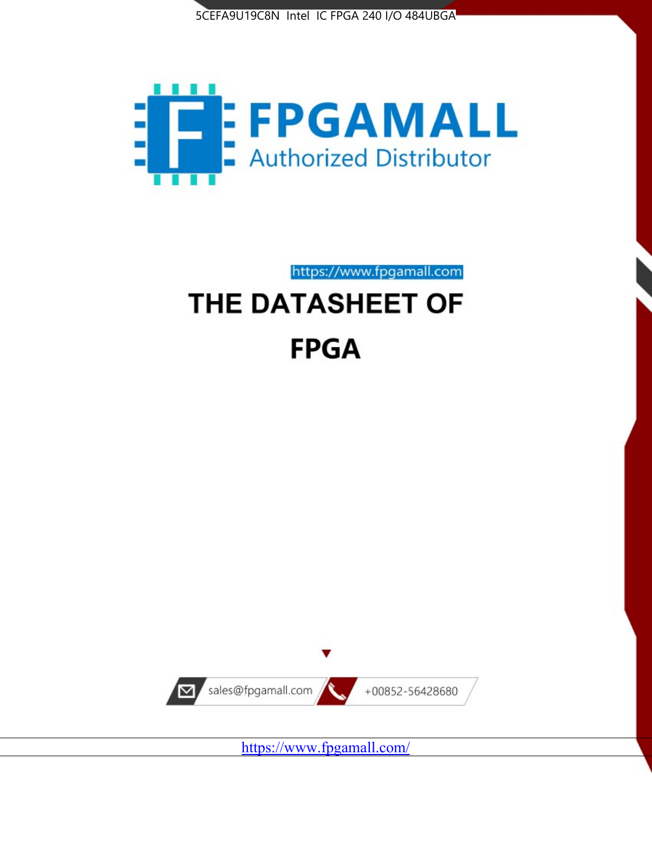



https://www.fpgamall.com

# THE DATASHEET OF **FPGA**



<https://www.fpgamall.com/>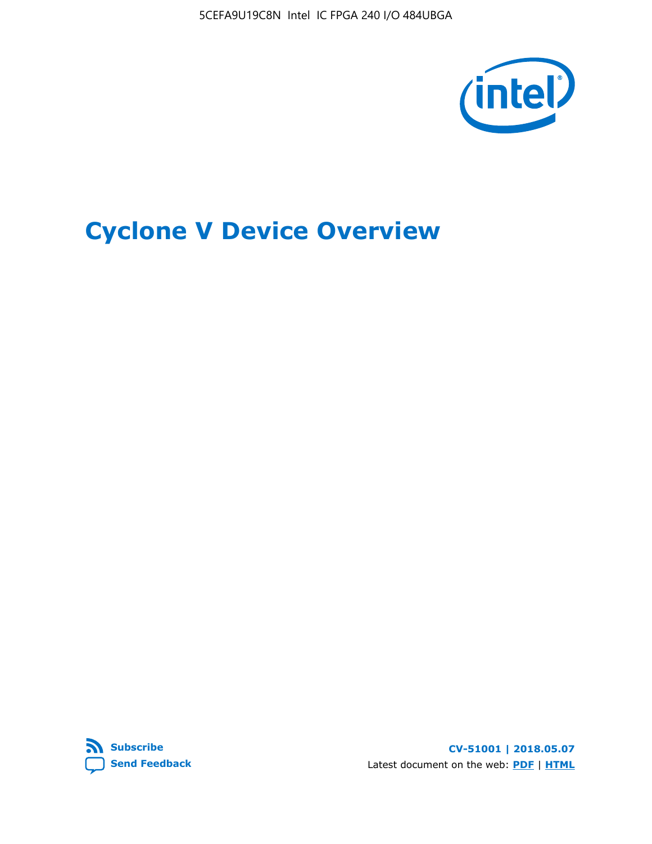5CEFA9U19C8N Intel IC FPGA 240 I/O 484UBGA



# **Cyclone V Device Overview**



**CV-51001 | 2018.05.07** Latest document on the web: **[PDF](https://www.altera.com/en_US/pdfs/literature/hb/cyclone-v/cv_51001.pdf)** | **[HTML](https://www.altera.com/documentation/sam1403480548153.html)**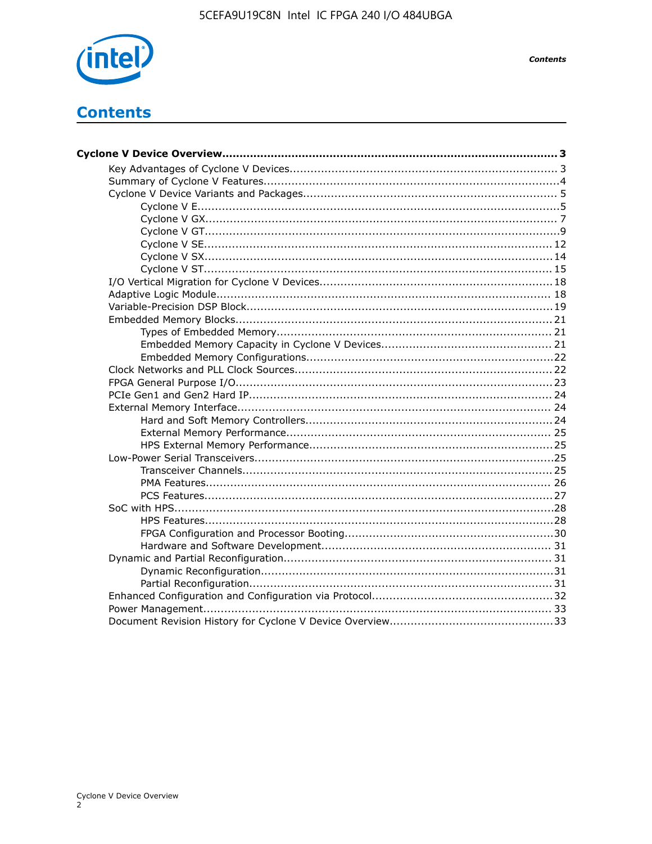

# **Contents**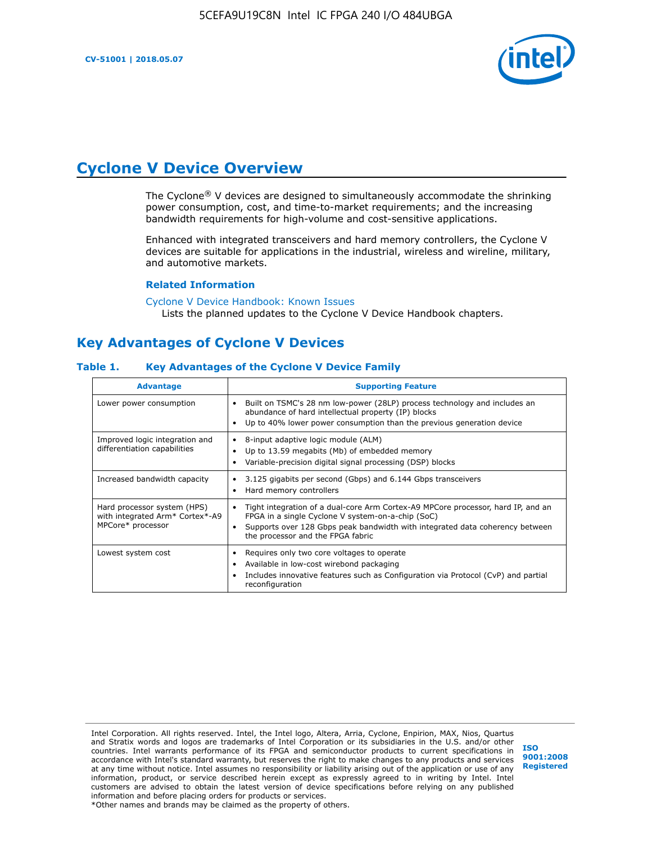

# **Cyclone V Device Overview**

The Cyclone® V devices are designed to simultaneously accommodate the shrinking power consumption, cost, and time-to-market requirements; and the increasing bandwidth requirements for high-volume and cost-sensitive applications.

Enhanced with integrated transceivers and hard memory controllers, the Cyclone V devices are suitable for applications in the industrial, wireless and wireline, military, and automotive markets.

#### **Related Information**

#### [Cyclone V Device Handbook: Known Issues](https://www.altera.com/support/support-resources/knowledge-base/solutions/rd12152011_347.html) Lists the planned updates to the Cyclone V Device Handbook chapters.

# **Key Advantages of Cyclone V Devices**

#### **Table 1. Key Advantages of the Cyclone V Device Family**

| <b>Advantage</b>                                                                    | <b>Supporting Feature</b>                                                                                                                                                                                                                                                            |
|-------------------------------------------------------------------------------------|--------------------------------------------------------------------------------------------------------------------------------------------------------------------------------------------------------------------------------------------------------------------------------------|
| Lower power consumption                                                             | Built on TSMC's 28 nm low-power (28LP) process technology and includes an<br>$\bullet$<br>abundance of hard intellectual property (IP) blocks<br>Up to 40% lower power consumption than the previous generation device                                                               |
| Improved logic integration and<br>differentiation capabilities                      | 8-input adaptive logic module (ALM)<br>٠<br>Up to 13.59 megabits (Mb) of embedded memory<br>$\bullet$<br>Variable-precision digital signal processing (DSP) blocks                                                                                                                   |
| Increased bandwidth capacity                                                        | 3.125 gigabits per second (Gbps) and 6.144 Gbps transceivers<br>٠<br>Hard memory controllers<br>$\bullet$                                                                                                                                                                            |
| Hard processor system (HPS)<br>with integrated Arm* Cortex*-A9<br>MPCore* processor | Tight integration of a dual-core Arm Cortex-A9 MPCore processor, hard IP, and an<br>$\bullet$<br>FPGA in a single Cyclone V system-on-a-chip (SoC)<br>Supports over 128 Gbps peak bandwidth with integrated data coherency between<br>$\bullet$<br>the processor and the FPGA fabric |
| Lowest system cost                                                                  | Requires only two core voltages to operate<br>$\bullet$<br>Available in low-cost wirebond packaging<br>$\bullet$<br>Includes innovative features such as Configuration via Protocol (CvP) and partial<br>$\bullet$<br>reconfiguration                                                |

Intel Corporation. All rights reserved. Intel, the Intel logo, Altera, Arria, Cyclone, Enpirion, MAX, Nios, Quartus and Stratix words and logos are trademarks of Intel Corporation or its subsidiaries in the U.S. and/or other countries. Intel warrants performance of its FPGA and semiconductor products to current specifications in accordance with Intel's standard warranty, but reserves the right to make changes to any products and services at any time without notice. Intel assumes no responsibility or liability arising out of the application or use of any information, product, or service described herein except as expressly agreed to in writing by Intel. Intel customers are advised to obtain the latest version of device specifications before relying on any published information and before placing orders for products or services. \*Other names and brands may be claimed as the property of others.

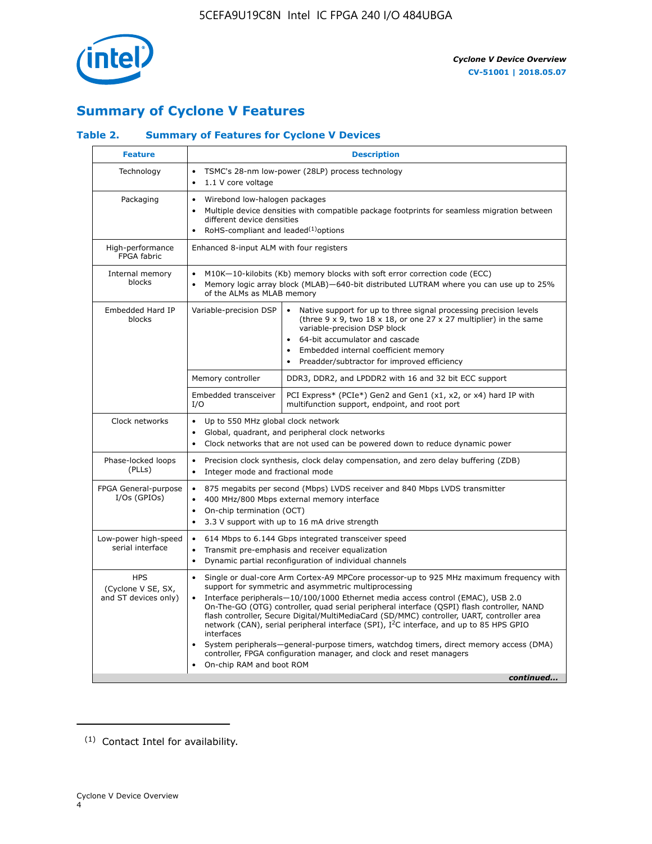

# **Summary of Cyclone V Features**

## **Table 2. Summary of Features for Cyclone V Devices**

| <b>Feature</b>                                           | <b>Description</b>                                                                                                                                                                                                                                                                                                                        |                                                                                                                                                                                                                                                                                                                                                                                                                                                                                                                                                                                                                                                                                                         |  |  |  |  |  |  |
|----------------------------------------------------------|-------------------------------------------------------------------------------------------------------------------------------------------------------------------------------------------------------------------------------------------------------------------------------------------------------------------------------------------|---------------------------------------------------------------------------------------------------------------------------------------------------------------------------------------------------------------------------------------------------------------------------------------------------------------------------------------------------------------------------------------------------------------------------------------------------------------------------------------------------------------------------------------------------------------------------------------------------------------------------------------------------------------------------------------------------------|--|--|--|--|--|--|
| Technology                                               | TSMC's 28-nm low-power (28LP) process technology<br>$\bullet$<br>1.1 V core voltage<br>$\bullet$                                                                                                                                                                                                                                          |                                                                                                                                                                                                                                                                                                                                                                                                                                                                                                                                                                                                                                                                                                         |  |  |  |  |  |  |
| Packaging                                                | $\bullet$                                                                                                                                                                                                                                                                                                                                 | Wirebond low-halogen packages<br>Multiple device densities with compatible package footprints for seamless migration between<br>different device densities<br>RoHS-compliant and leaded $(1)$ options                                                                                                                                                                                                                                                                                                                                                                                                                                                                                                   |  |  |  |  |  |  |
| High-performance<br>FPGA fabric                          | Enhanced 8-input ALM with four registers                                                                                                                                                                                                                                                                                                  |                                                                                                                                                                                                                                                                                                                                                                                                                                                                                                                                                                                                                                                                                                         |  |  |  |  |  |  |
| Internal memory<br>blocks                                | of the ALMs as MLAB memory                                                                                                                                                                                                                                                                                                                | M10K-10-kilobits (Kb) memory blocks with soft error correction code (ECC)<br>Memory logic array block (MLAB)-640-bit distributed LUTRAM where you can use up to 25%                                                                                                                                                                                                                                                                                                                                                                                                                                                                                                                                     |  |  |  |  |  |  |
| Embedded Hard IP<br>blocks                               | Variable-precision DSP<br>Native support for up to three signal processing precision levels<br>(three $9 \times 9$ , two $18 \times 18$ , or one 27 x 27 multiplier) in the same<br>variable-precision DSP block<br>64-bit accumulator and cascade<br>Embedded internal coefficient memory<br>Preadder/subtractor for improved efficiency |                                                                                                                                                                                                                                                                                                                                                                                                                                                                                                                                                                                                                                                                                                         |  |  |  |  |  |  |
|                                                          | Memory controller                                                                                                                                                                                                                                                                                                                         | DDR3, DDR2, and LPDDR2 with 16 and 32 bit ECC support                                                                                                                                                                                                                                                                                                                                                                                                                                                                                                                                                                                                                                                   |  |  |  |  |  |  |
|                                                          | Embedded transceiver<br>I/O                                                                                                                                                                                                                                                                                                               | PCI Express* (PCIe*) Gen2 and Gen1 (x1, x2, or x4) hard IP with<br>multifunction support, endpoint, and root port                                                                                                                                                                                                                                                                                                                                                                                                                                                                                                                                                                                       |  |  |  |  |  |  |
| Clock networks                                           | Up to 550 MHz global clock network<br>$\bullet$<br>$\bullet$                                                                                                                                                                                                                                                                              | Global, quadrant, and peripheral clock networks<br>Clock networks that are not used can be powered down to reduce dynamic power                                                                                                                                                                                                                                                                                                                                                                                                                                                                                                                                                                         |  |  |  |  |  |  |
| Phase-locked loops<br>(PLLs)                             | $\bullet$<br>Integer mode and fractional mode<br>$\bullet$                                                                                                                                                                                                                                                                                | Precision clock synthesis, clock delay compensation, and zero delay buffering (ZDB)                                                                                                                                                                                                                                                                                                                                                                                                                                                                                                                                                                                                                     |  |  |  |  |  |  |
| FPGA General-purpose<br>$I/Os$ (GPIOs)                   | $\bullet$<br>$\bullet$<br>On-chip termination (OCT)<br>$\bullet$                                                                                                                                                                                                                                                                          | 875 megabits per second (Mbps) LVDS receiver and 840 Mbps LVDS transmitter<br>400 MHz/800 Mbps external memory interface<br>3.3 V support with up to 16 mA drive strength                                                                                                                                                                                                                                                                                                                                                                                                                                                                                                                               |  |  |  |  |  |  |
| Low-power high-speed<br>serial interface                 | 614 Mbps to 6.144 Gbps integrated transceiver speed<br>$\bullet$<br>Transmit pre-emphasis and receiver equalization<br>$\bullet$<br>Dynamic partial reconfiguration of individual channels<br>$\bullet$                                                                                                                                   |                                                                                                                                                                                                                                                                                                                                                                                                                                                                                                                                                                                                                                                                                                         |  |  |  |  |  |  |
| <b>HPS</b><br>(Cyclone V SE, SX,<br>and ST devices only) | $\bullet$<br>$\bullet$<br>interfaces<br>On-chip RAM and boot ROM                                                                                                                                                                                                                                                                          | Single or dual-core Arm Cortex-A9 MPCore processor-up to 925 MHz maximum frequency with<br>support for symmetric and asymmetric multiprocessing<br>Interface peripherals-10/100/1000 Ethernet media access control (EMAC), USB 2.0<br>On-The-GO (OTG) controller, quad serial peripheral interface (QSPI) flash controller, NAND<br>flash controller, Secure Digital/MultiMediaCard (SD/MMC) controller, UART, controller area<br>network (CAN), serial peripheral interface (SPI), I <sup>2</sup> C interface, and up to 85 HPS GPIO<br>System peripherals—general-purpose timers, watchdog timers, direct memory access (DMA)<br>controller, FPGA configuration manager, and clock and reset managers |  |  |  |  |  |  |
|                                                          |                                                                                                                                                                                                                                                                                                                                           | continued                                                                                                                                                                                                                                                                                                                                                                                                                                                                                                                                                                                                                                                                                               |  |  |  |  |  |  |

<sup>(1)</sup> Contact Intel for availability.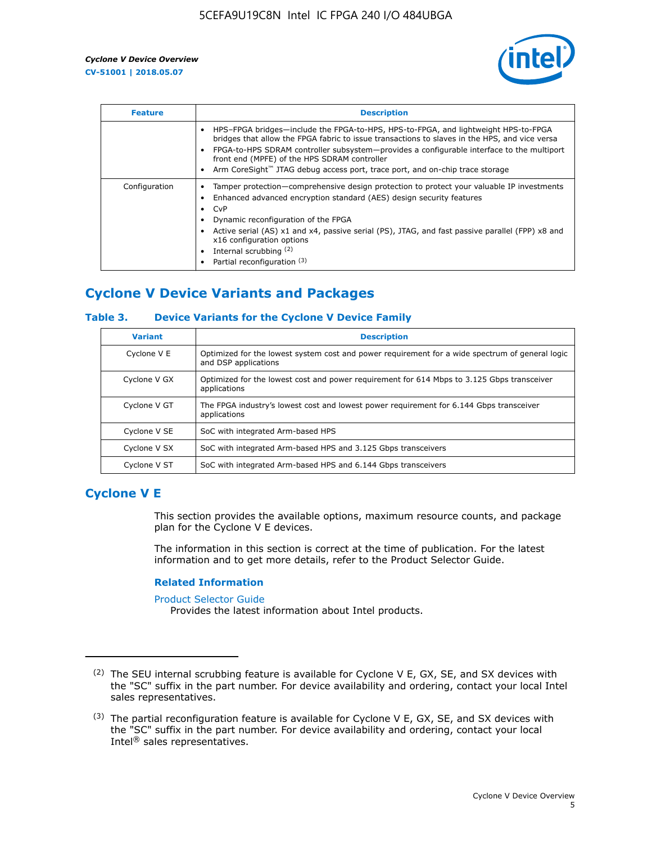

| <b>Feature</b> | <b>Description</b>                                                                                                                                                                                                                                                                                                                                                                                                    |
|----------------|-----------------------------------------------------------------------------------------------------------------------------------------------------------------------------------------------------------------------------------------------------------------------------------------------------------------------------------------------------------------------------------------------------------------------|
|                | HPS-FPGA bridges—include the FPGA-to-HPS, HPS-to-FPGA, and lightweight HPS-to-FPGA<br>bridges that allow the FPGA fabric to issue transactions to slaves in the HPS, and vice versa<br>FPGA-to-HPS SDRAM controller subsystem-provides a configurable interface to the multiport<br>front end (MPFE) of the HPS SDRAM controller<br>Arm CoreSight™ JTAG debug access port, trace port, and on-chip trace storage      |
| Configuration  | Tamper protection—comprehensive design protection to protect your valuable IP investments<br>Enhanced advanced encryption standard (AES) design security features<br>CvP<br>$\bullet$<br>Dynamic reconfiguration of the FPGA<br>Active serial (AS) x1 and x4, passive serial (PS), JTAG, and fast passive parallel (FPP) x8 and<br>x16 configuration options<br>Internal scrubbing (2)<br>Partial reconfiguration (3) |

# **Cyclone V Device Variants and Packages**

#### **Table 3. Device Variants for the Cyclone V Device Family**

| <b>Variant</b> | <b>Description</b>                                                                                                      |
|----------------|-------------------------------------------------------------------------------------------------------------------------|
| Cyclone V E    | Optimized for the lowest system cost and power requirement for a wide spectrum of general logic<br>and DSP applications |
| Cyclone V GX   | Optimized for the lowest cost and power requirement for 614 Mbps to 3.125 Gbps transceiver<br>applications              |
| Cyclone V GT   | The FPGA industry's lowest cost and lowest power requirement for 6.144 Gbps transceiver<br>applications                 |
| Cyclone V SE   | SoC with integrated Arm-based HPS                                                                                       |
| Cyclone V SX   | SoC with integrated Arm-based HPS and 3.125 Gbps transceivers                                                           |
| Cyclone V ST   | SoC with integrated Arm-based HPS and 6.144 Gbps transceivers                                                           |

# **Cyclone V E**

This section provides the available options, maximum resource counts, and package plan for the Cyclone V E devices.

The information in this section is correct at the time of publication. For the latest information and to get more details, refer to the Product Selector Guide.

#### **Related Information**

[Product Selector Guide](https://www.altera.com/products/product-selector-guide.html)

Provides the latest information about Intel products.

<sup>(2)</sup> The SEU internal scrubbing feature is available for Cyclone V E, GX, SE, and SX devices with the "SC" suffix in the part number. For device availability and ordering, contact your local Intel sales representatives.

 $(3)$  The partial reconfiguration feature is available for Cyclone V E, GX, SE, and SX devices with the "SC" suffix in the part number. For device availability and ordering, contact your local Intel® sales representatives.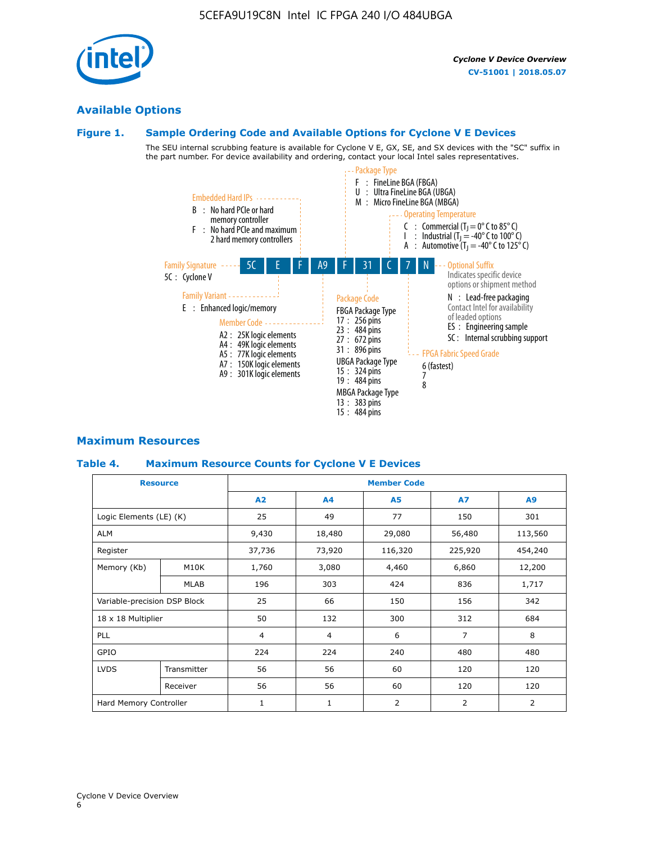# **Available Options**

#### **Figure 1. Sample Ordering Code and Available Options for Cyclone V E Devices**

The SEU internal scrubbing feature is available for Cyclone V E, GX, SE, and SX devices with the "SC" suffix in the part number. For device availability and ordering, contact your local Intel sales representatives.



# **Maximum Resources**

#### **Table 4. Maximum Resource Counts for Cyclone V E Devices**

| <b>Resource</b>              |             | <b>Member Code</b> |                |                |                |         |  |  |
|------------------------------|-------------|--------------------|----------------|----------------|----------------|---------|--|--|
|                              |             | A2                 | A <sub>4</sub> | <b>A5</b>      | <b>A7</b>      | A9      |  |  |
| Logic Elements (LE) (K)      |             | 25                 | 49             | 77             | 150            | 301     |  |  |
| <b>ALM</b>                   |             | 9,430              | 18,480         | 29,080         | 56,480         | 113,560 |  |  |
| Register                     |             | 37,736             | 73,920         | 116,320        | 225,920        | 454,240 |  |  |
| Memory (Kb)                  | M10K        | 1,760              | 3,080          | 4,460          | 6,860          | 12,200  |  |  |
|                              | MLAB        | 196                | 303            | 424            | 836            | 1,717   |  |  |
| Variable-precision DSP Block |             | 25                 | 66             | 150            | 156            | 342     |  |  |
| 18 x 18 Multiplier           |             | 50                 | 132            | 300            | 312            | 684     |  |  |
| PLL                          |             | $\overline{4}$     | 4              | 6              | $\overline{7}$ | 8       |  |  |
| GPIO                         |             | 224                | 224            | 240            | 480            | 480     |  |  |
| <b>LVDS</b>                  | Transmitter | 56                 | 56             | 60             | 120            | 120     |  |  |
|                              | Receiver    | 56                 | 56             | 60             | 120            | 120     |  |  |
| Hard Memory Controller       |             | $\mathbf{1}$       | $\mathbf{1}$   | $\overline{2}$ | $\overline{2}$ | 2       |  |  |

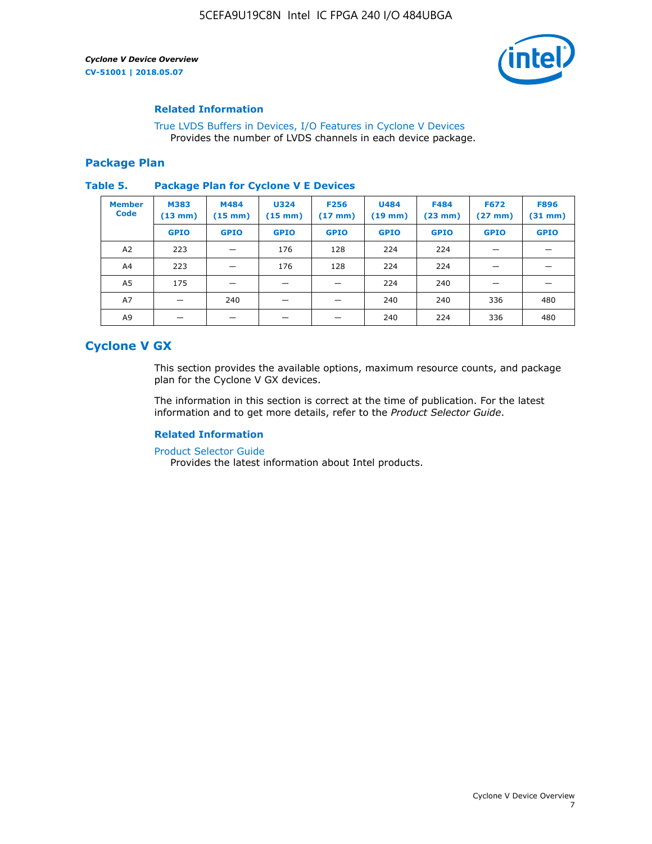

#### **Related Information**

[True LVDS Buffers in Devices, I/O Features in Cyclone V Devices](https://www.altera.com/documentation/sam1403481100977.html#sam1403480885395) Provides the number of LVDS channels in each device package.

#### **Package Plan**

#### **Table 5. Package Plan for Cyclone V E Devices**

| <b>Member</b><br><b>Code</b> | <b>M383</b><br>$(13 \text{ mm})$ | M484<br>$(15 \text{ mm})$ | <b>U324</b><br>$(15 \text{ mm})$ | <b>F256</b><br>$(17 \text{ mm})$ | <b>U484</b><br>$(19$ mm) | <b>F484</b><br>$(23$ mm $)$ | <b>F672</b><br>$(27 \, \text{mm})$ | <b>F896</b><br>$(31$ mm $)$ |
|------------------------------|----------------------------------|---------------------------|----------------------------------|----------------------------------|--------------------------|-----------------------------|------------------------------------|-----------------------------|
|                              | <b>GPIO</b>                      | <b>GPIO</b>               | <b>GPIO</b>                      | <b>GPIO</b>                      | <b>GPIO</b>              | <b>GPIO</b>                 | <b>GPIO</b>                        | <b>GPIO</b>                 |
| A2                           | 223                              |                           | 176                              | 128                              | 224                      | 224                         | –                                  |                             |
| A4                           | 223                              |                           | 176                              | 128                              | 224                      | 224                         | –                                  |                             |
| A5                           | 175                              |                           |                                  |                                  | 224                      | 240                         |                                    |                             |
| A7                           |                                  | 240                       |                                  |                                  | 240                      | 240                         | 336                                | 480                         |
| A9                           |                                  |                           |                                  |                                  | 240                      | 224                         | 336                                | 480                         |

# **Cyclone V GX**

This section provides the available options, maximum resource counts, and package plan for the Cyclone V GX devices.

The information in this section is correct at the time of publication. For the latest information and to get more details, refer to the *Product Selector Guide*.

#### **Related Information**

[Product Selector Guide](https://www.altera.com/products/product-selector-guide.html)

Provides the latest information about Intel products.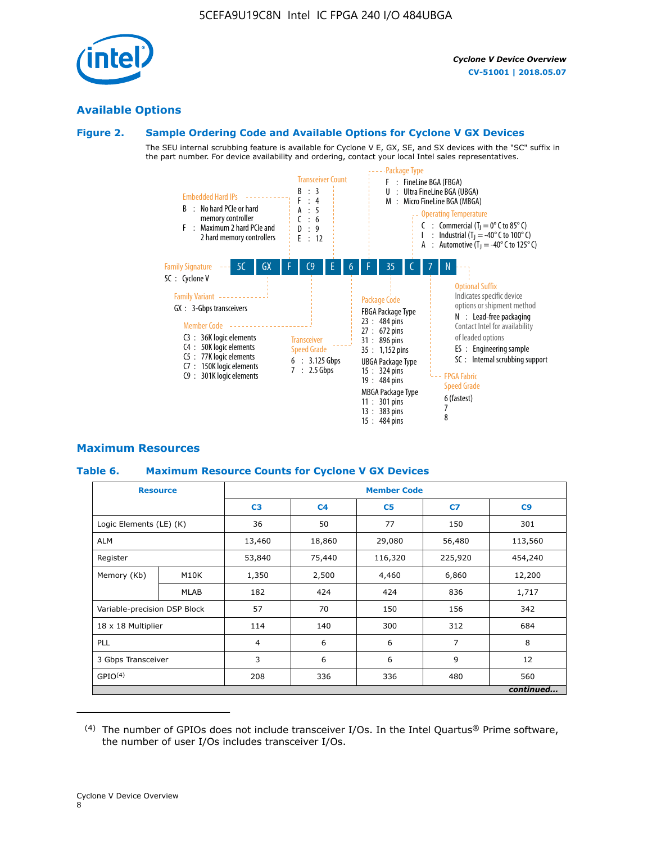

## **Available Options**

#### **Figure 2. Sample Ordering Code and Available Options for Cyclone V GX Devices**

The SEU internal scrubbing feature is available for Cyclone V E, GX, SE, and SX devices with the "SC" suffix in the part number. For device availability and ordering, contact your local Intel sales representatives.



## **Maximum Resources**

#### **Table 6. Maximum Resource Counts for Cyclone V GX Devices**

|                              | <b>Resource</b> | <b>Member Code</b> |                |                |                |           |  |  |
|------------------------------|-----------------|--------------------|----------------|----------------|----------------|-----------|--|--|
|                              |                 | C <sub>3</sub>     | C <sub>4</sub> | C <sub>5</sub> | C7             | C9        |  |  |
| Logic Elements (LE) (K)      |                 | 36                 | 50             | 77             | 150            | 301       |  |  |
| <b>ALM</b>                   |                 | 13,460             | 18,860         | 29,080         | 56,480         | 113,560   |  |  |
| Register                     |                 | 53,840             | 75,440         | 116,320        | 225,920        | 454,240   |  |  |
| Memory (Kb)                  | M10K            | 1,350              | 2,500          | 4,460          | 6,860          | 12,200    |  |  |
|                              | <b>MLAB</b>     | 182                | 424            | 424            | 836            | 1,717     |  |  |
| Variable-precision DSP Block |                 | 57                 | 70             | 150            | 156            | 342       |  |  |
| 18 x 18 Multiplier           |                 | 114                | 140            | 300            | 312            | 684       |  |  |
| PLL                          |                 | $\overline{4}$     | 6              | 6              | $\overline{7}$ | 8         |  |  |
| 3 Gbps Transceiver           |                 | 3                  | 6              | 6              | 9              | 12        |  |  |
| GPIO <sup>(4)</sup>          |                 | 208                | 336            | 336            | 480            | 560       |  |  |
|                              |                 |                    |                |                |                | continued |  |  |

 $(4)$  The number of GPIOs does not include transceiver I/Os. In the Intel Quartus® Prime software, the number of user I/Os includes transceiver I/Os.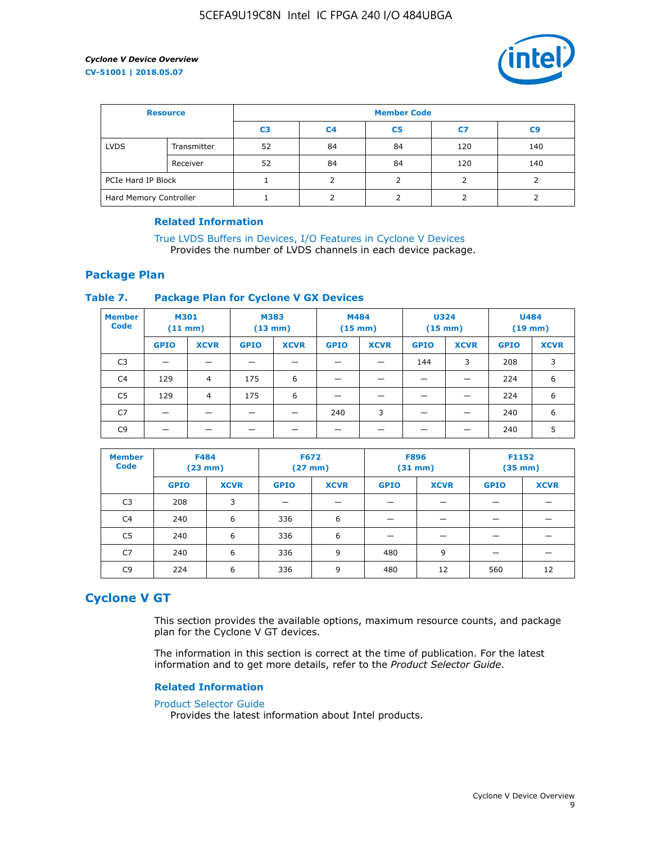

| <b>Resource</b>        |             | <b>Member Code</b> |                |                |     |                |  |  |
|------------------------|-------------|--------------------|----------------|----------------|-----|----------------|--|--|
|                        |             | C <sub>3</sub>     | C <sub>4</sub> | C <sub>5</sub> | C7  | C <sub>9</sub> |  |  |
| <b>LVDS</b>            | Transmitter | 52                 | 84             | 84             | 120 | 140            |  |  |
|                        | Receiver    | 52                 | 84             | 84             | 120 | 140            |  |  |
| PCIe Hard IP Block     |             |                    |                |                |     |                |  |  |
| Hard Memory Controller |             |                    | h              |                |     |                |  |  |

#### **Related Information**

[True LVDS Buffers in Devices, I/O Features in Cyclone V Devices](https://www.altera.com/documentation/sam1403481100977.html#sam1403480885395) Provides the number of LVDS channels in each device package.

## **Package Plan**

#### **Table 7. Package Plan for Cyclone V GX Devices**

| <b>Member</b><br><b>Code</b> | <b>M301</b><br>$(11$ mm) |                | <b>M383</b><br>$(13 \text{ mm})$ |             | M484        | $(15 \text{ mm})$ | <b>U324</b><br>$(15 \text{ mm})$ |             | <b>U484</b><br>$(19$ mm) |             |
|------------------------------|--------------------------|----------------|----------------------------------|-------------|-------------|-------------------|----------------------------------|-------------|--------------------------|-------------|
|                              | <b>GPIO</b>              | <b>XCVR</b>    | <b>GPIO</b>                      | <b>XCVR</b> | <b>GPIO</b> | <b>XCVR</b>       | <b>GPIO</b>                      | <b>XCVR</b> | <b>GPIO</b>              | <b>XCVR</b> |
| C <sub>3</sub>               |                          |                |                                  |             |             |                   | 144                              | 3           | 208                      | 3           |
| C <sub>4</sub>               | 129                      | $\overline{4}$ | 175                              | 6           |             |                   | –                                |             | 224                      | 6           |
| C5                           | 129                      | 4              | 175                              | 6           |             |                   |                                  |             | 224                      | 6           |
| C7                           | _                        |                |                                  |             | 240         | 3                 |                                  |             | 240                      | 6           |
| C9                           |                          |                |                                  |             |             |                   |                                  |             | 240                      | 5           |

| <b>Member</b><br><b>Code</b> | <b>F484</b> | $(23$ mm)   | <b>F672</b> | $(27 \text{ mm})$ | <b>F896</b><br>$(31 \text{ mm})$ |             | F1152<br>$(35 \text{ mm})$ |             |
|------------------------------|-------------|-------------|-------------|-------------------|----------------------------------|-------------|----------------------------|-------------|
|                              | <b>GPIO</b> | <b>XCVR</b> | <b>GPIO</b> | <b>XCVR</b>       | <b>GPIO</b>                      | <b>XCVR</b> | <b>GPIO</b>                | <b>XCVR</b> |
| C <sub>3</sub>               | 208         | 3           |             |                   |                                  |             |                            |             |
| C4                           | 240         | 6           | 336         | 6                 |                                  |             |                            |             |
| C5                           | 240         | 6           | 336         | 6                 |                                  |             |                            |             |
| C <sub>7</sub>               | 240         | 6           | 336         | 9                 | 480                              | 9           |                            |             |
| C9                           | 224         | 6           | 336         | 9                 | 480                              | 12          | 560                        | 12          |

# **Cyclone V GT**

This section provides the available options, maximum resource counts, and package plan for the Cyclone V GT devices.

The information in this section is correct at the time of publication. For the latest information and to get more details, refer to the *Product Selector Guide*.

#### **Related Information**

#### [Product Selector Guide](https://www.altera.com/products/product-selector-guide.html)

Provides the latest information about Intel products.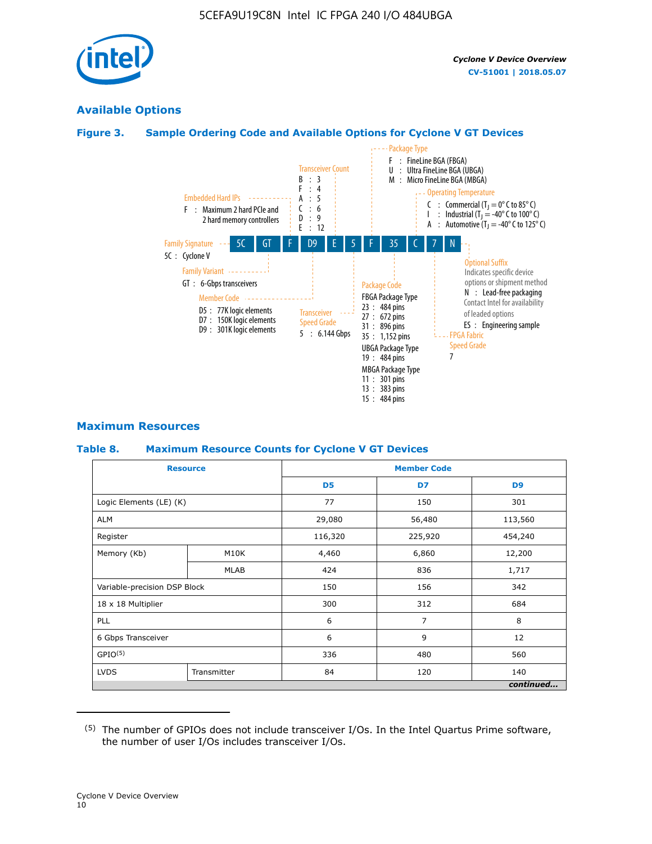

## **Available Options**

#### **Figure 3. Sample Ordering Code and Available Options for Cyclone V GT Devices**



#### **Maximum Resources**

#### **Table 8. Maximum Resource Counts for Cyclone V GT Devices**

|                              | <b>Resource</b> | <b>Member Code</b> |         |                |  |  |
|------------------------------|-----------------|--------------------|---------|----------------|--|--|
|                              |                 | D <sub>5</sub>     | D7      | D <sub>9</sub> |  |  |
| Logic Elements (LE) (K)      |                 | 77                 | 150     | 301            |  |  |
| <b>ALM</b>                   |                 | 29,080             | 56,480  | 113,560        |  |  |
| Register                     |                 | 116,320            | 225,920 | 454,240        |  |  |
| Memory (Kb)                  | M10K            | 4,460              | 6,860   | 12,200         |  |  |
|                              | <b>MLAB</b>     | 424                | 836     | 1,717          |  |  |
| Variable-precision DSP Block |                 | 150                | 156     | 342            |  |  |
| 18 x 18 Multiplier           |                 | 300                | 312     | 684            |  |  |
| PLL                          |                 | 6                  | 7       | 8              |  |  |
| 6 Gbps Transceiver           |                 | 6                  | 9       | 12             |  |  |
| GPIO <sup>(5)</sup>          |                 | 336                | 480     | 560            |  |  |
| <b>LVDS</b>                  | Transmitter     | 84                 | 120     | 140            |  |  |
|                              |                 |                    |         | continued      |  |  |

<sup>(5)</sup> The number of GPIOs does not include transceiver I/Os. In the Intel Quartus Prime software, the number of user I/Os includes transceiver I/Os.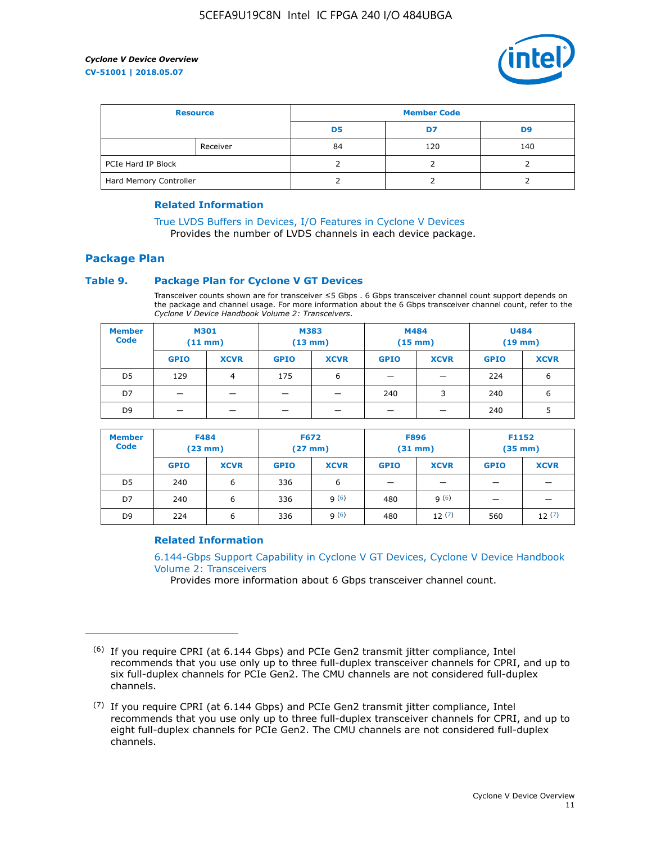

| <b>Resource</b>        |          | <b>Member Code</b> |     |     |  |  |
|------------------------|----------|--------------------|-----|-----|--|--|
|                        |          | D5                 | D7  | D9  |  |  |
|                        | Receiver | 84                 | 120 | 140 |  |  |
| PCIe Hard IP Block     |          |                    |     |     |  |  |
| Hard Memory Controller |          |                    |     |     |  |  |

#### **Related Information**

[True LVDS Buffers in Devices, I/O Features in Cyclone V Devices](https://www.altera.com/documentation/sam1403481100977.html#sam1403480885395) Provides the number of LVDS channels in each device package.

# **Package Plan**

#### **Table 9. Package Plan for Cyclone V GT Devices**

Transceiver counts shown are for transceiver ≤5 Gbps . 6 Gbps transceiver channel count support depends on the package and channel usage. For more information about the 6 Gbps transceiver channel count, refer to the *Cyclone V Device Handbook Volume 2: Transceivers*.

| <b>Member</b><br><b>Code</b> | <b>M301</b><br>$(11$ mm) |             | M383<br>$(13 \text{ mm})$ |             | M484<br>$(15$ mm $)$     |                          | <b>U484</b><br>$(19$ mm) |             |
|------------------------------|--------------------------|-------------|---------------------------|-------------|--------------------------|--------------------------|--------------------------|-------------|
|                              | <b>GPIO</b>              | <b>XCVR</b> | <b>GPIO</b>               | <b>XCVR</b> | <b>GPIO</b>              | <b>XCVR</b>              | <b>GPIO</b>              | <b>XCVR</b> |
| D <sub>5</sub>               | 129                      | 4           | 175                       | 6           | $\overline{\phantom{0}}$ | $\overline{\phantom{0}}$ | 224                      | 6           |
| D7                           | -                        |             |                           | _           | 240                      | 3                        | 240                      | 6           |
| D <sub>9</sub>               | –                        |             |                           | _           | _                        | –                        | 240                      | 5           |

| <b>Member</b><br><b>Code</b> | <b>F484</b><br>$(23 \text{ mm})$ |             | <b>F672</b><br>$(27 \text{ mm})$ |             | <b>F896</b><br>$(31$ mm $)$ |             | F1152<br>$(35$ mm $)$ |             |
|------------------------------|----------------------------------|-------------|----------------------------------|-------------|-----------------------------|-------------|-----------------------|-------------|
|                              | <b>GPIO</b>                      | <b>XCVR</b> | <b>GPIO</b>                      | <b>XCVR</b> | <b>GPIO</b>                 | <b>XCVR</b> | <b>GPIO</b>           | <b>XCVR</b> |
| D <sub>5</sub>               | 240                              | 6           | 336                              | 6           | -                           |             |                       |             |
| D7                           | 240                              | 6           | 336                              | q(6)        | 480                         | q(6)        | -                     | _           |
| D <sub>9</sub>               | 224                              | 6           | 336                              | q(6)        | 480                         | 12(7)       | 560                   | 12(7)       |

#### **Related Information**

[6.144-Gbps Support Capability in Cyclone V GT Devices, Cyclone V Device Handbook](https://www.altera.com/documentation/nik1409855456781.html#nik1409855410757) [Volume 2: Transceivers](https://www.altera.com/documentation/nik1409855456781.html#nik1409855410757)

Provides more information about 6 Gbps transceiver channel count.

<sup>(6)</sup> If you require CPRI (at 6.144 Gbps) and PCIe Gen2 transmit jitter compliance, Intel recommends that you use only up to three full-duplex transceiver channels for CPRI, and up to six full-duplex channels for PCIe Gen2. The CMU channels are not considered full-duplex channels.

 $(7)$  If you require CPRI (at 6.144 Gbps) and PCIe Gen2 transmit jitter compliance, Intel recommends that you use only up to three full-duplex transceiver channels for CPRI, and up to eight full-duplex channels for PCIe Gen2. The CMU channels are not considered full-duplex channels.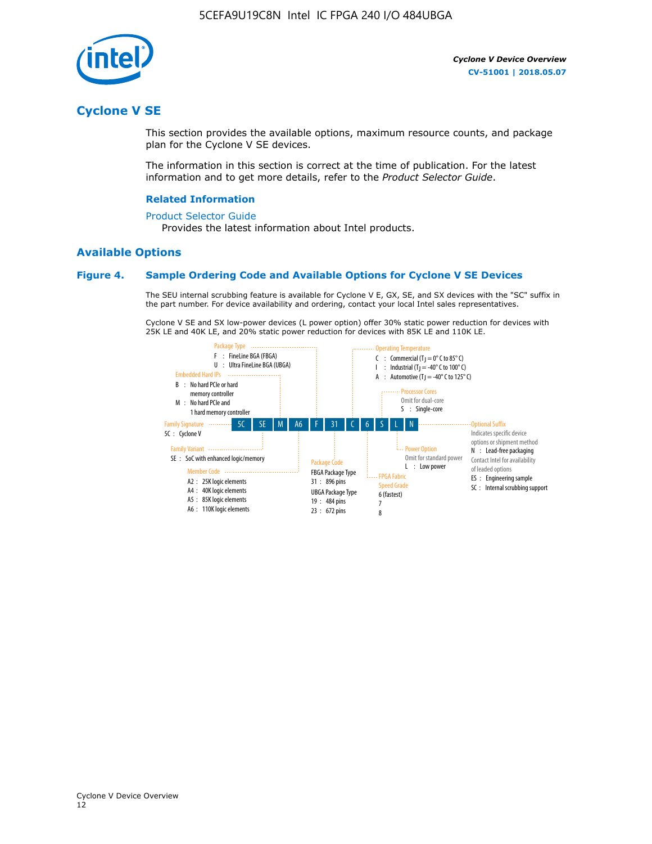

# **Cyclone V SE**

This section provides the available options, maximum resource counts, and package plan for the Cyclone V SE devices.

The information in this section is correct at the time of publication. For the latest information and to get more details, refer to the *Product Selector Guide*.

#### **Related Information**

#### [Product Selector Guide](https://www.altera.com/products/product-selector-guide.html)

Provides the latest information about Intel products.

#### **Available Options**

#### **Figure 4. Sample Ordering Code and Available Options for Cyclone V SE Devices**

The SEU internal scrubbing feature is available for Cyclone V E, GX, SE, and SX devices with the "SC" suffix in the part number. For device availability and ordering, contact your local Intel sales representatives.

Cyclone V SE and SX low-power devices (L power option) offer 30% static power reduction for devices with 25K LE and 40K LE, and 20% static power reduction for devices with 85K LE and 110K LE.

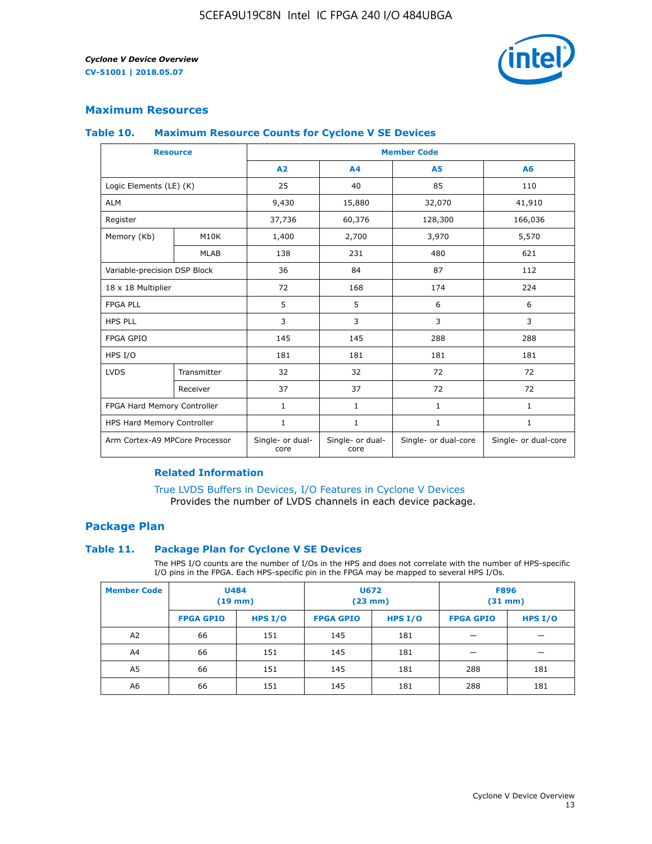

### **Maximum Resources**

#### **Table 10. Maximum Resource Counts for Cyclone V SE Devices**

|                                | <b>Resource</b> | <b>Member Code</b>       |                          |                      |                      |  |
|--------------------------------|-----------------|--------------------------|--------------------------|----------------------|----------------------|--|
|                                |                 | A <sub>2</sub>           | A <sub>4</sub>           | <b>A5</b>            | A6                   |  |
| Logic Elements (LE) (K)        |                 | 25                       | 40                       | 85                   | 110                  |  |
| <b>ALM</b>                     |                 | 9,430                    | 15,880                   | 32,070               | 41,910               |  |
| Register                       |                 | 37,736                   | 60,376                   | 128,300              | 166,036              |  |
| Memory (Kb)                    | M10K            | 1,400                    | 2,700                    | 3,970                | 5,570                |  |
|                                | <b>MLAB</b>     | 138                      | 231                      | 480                  | 621                  |  |
| Variable-precision DSP Block   |                 | 36                       | 84                       | 87                   | 112                  |  |
| 18 x 18 Multiplier             |                 | 72                       | 168                      | 174                  | 224                  |  |
| <b>FPGA PLL</b>                |                 | 5                        | 5                        | 6                    | 6                    |  |
| <b>HPS PLL</b>                 |                 | 3                        | 3                        | 3                    | 3                    |  |
| <b>FPGA GPIO</b>               |                 | 145                      | 145                      | 288                  | 288                  |  |
| HPS I/O                        |                 | 181                      | 181                      | 181                  | 181                  |  |
| <b>LVDS</b>                    | Transmitter     | 32                       | 32                       | 72                   | 72                   |  |
|                                | Receiver        | 37                       | 37                       | 72                   | 72                   |  |
| FPGA Hard Memory Controller    |                 | 1                        | $\mathbf{1}$             | $\mathbf{1}$         | $\mathbf{1}$         |  |
| HPS Hard Memory Controller     |                 | $\mathbf{1}$             | $\mathbf{1}$             | $\mathbf{1}$         | $\mathbf{1}$         |  |
| Arm Cortex-A9 MPCore Processor |                 | Single- or dual-<br>core | Single- or dual-<br>core | Single- or dual-core | Single- or dual-core |  |

#### **Related Information**

[True LVDS Buffers in Devices, I/O Features in Cyclone V Devices](https://www.altera.com/documentation/sam1403481100977.html#sam1403480885395) Provides the number of LVDS channels in each device package.

#### **Package Plan**

#### **Table 11. Package Plan for Cyclone V SE Devices**

The HPS I/O counts are the number of I/Os in the HPS and does not correlate with the number of HPS-specific I/O pins in the FPGA. Each HPS-specific pin in the FPGA may be mapped to several HPS I/Os.

| <b>Member Code</b> | <b>U484</b><br>$(19$ mm) |           | <b>U672</b><br>(23 mm) |           | <b>F896</b><br>$(31$ mm $)$ |           |
|--------------------|--------------------------|-----------|------------------------|-----------|-----------------------------|-----------|
|                    | <b>FPGA GPIO</b>         | HPS $I/O$ | <b>FPGA GPIO</b>       | HPS $I/O$ | <b>FPGA GPIO</b>            | HPS $I/O$ |
| A <sub>2</sub>     | 66                       | 151       | 145                    | 181       |                             |           |
| A4                 | 66                       | 151       | 145                    | 181       |                             |           |
| A <sub>5</sub>     | 66                       | 151       | 145                    | 181       | 288                         | 181       |
| A6                 | 66                       | 151       | 145                    | 181       | 288                         | 181       |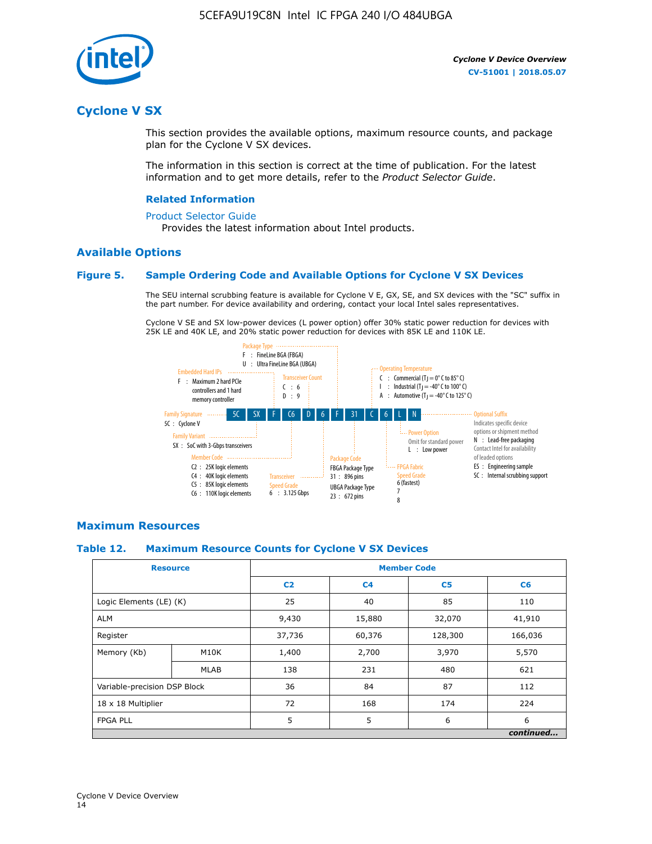

# **Cyclone V SX**

This section provides the available options, maximum resource counts, and package plan for the Cyclone V SX devices.

The information in this section is correct at the time of publication. For the latest information and to get more details, refer to the *Product Selector Guide*.

#### **Related Information**

#### [Product Selector Guide](https://www.altera.com/products/product-selector-guide.html)

Provides the latest information about Intel products.

## **Available Options**

#### **Figure 5. Sample Ordering Code and Available Options for Cyclone V SX Devices**

The SEU internal scrubbing feature is available for Cyclone V E, GX, SE, and SX devices with the "SC" suffix in the part number. For device availability and ordering, contact your local Intel sales representatives.

Cyclone V SE and SX low-power devices (L power option) offer 30% static power reduction for devices with 25K LE and 40K LE, and 20% static power reduction for devices with 85K LE and 110K LE.



#### **Maximum Resources**

#### **Table 12. Maximum Resource Counts for Cyclone V SX Devices**

|                              | <b>Resource</b> | <b>Member Code</b> |                |                |           |  |
|------------------------------|-----------------|--------------------|----------------|----------------|-----------|--|
|                              |                 | C <sub>2</sub>     | C <sub>4</sub> | C <sub>5</sub> | C6        |  |
| Logic Elements (LE) (K)      |                 | 25                 | 40             | 85             | 110       |  |
| <b>ALM</b>                   |                 | 9,430              | 15,880         | 32,070         | 41,910    |  |
| Register                     |                 | 37,736             | 60,376         | 128,300        | 166,036   |  |
| Memory (Kb)                  | M10K            | 1,400              | 2,700          | 3,970          | 5,570     |  |
|                              | <b>MLAB</b>     | 138                | 231            | 480            | 621       |  |
| Variable-precision DSP Block |                 | 36                 | 84             | 87             | 112       |  |
| 18 x 18 Multiplier           |                 | 72                 | 168            | 174            | 224       |  |
| <b>FPGA PLL</b>              |                 | 5                  | 5              | 6              | 6         |  |
|                              |                 |                    |                |                | continued |  |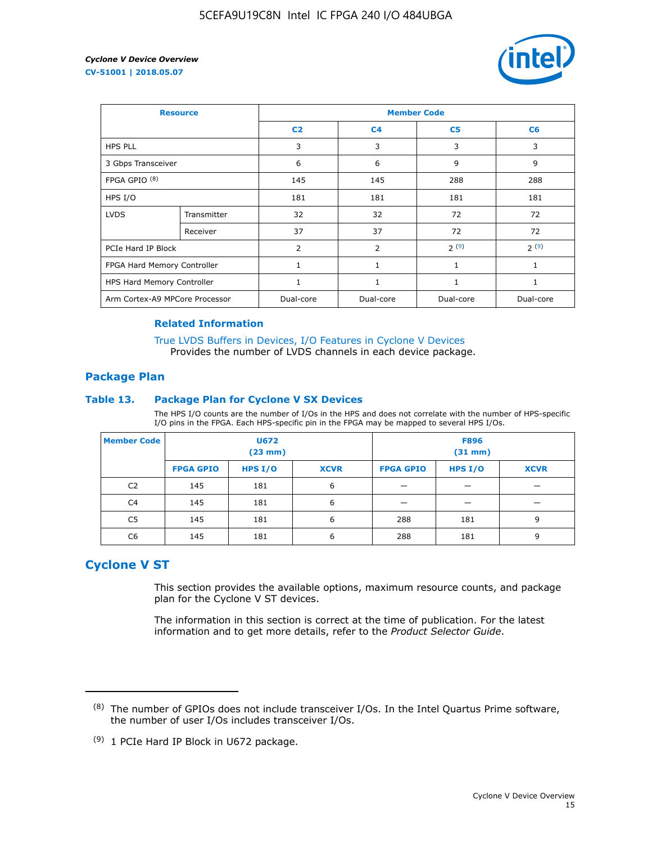

| <b>Resource</b>                |             | <b>Member Code</b> |                |                |              |  |  |
|--------------------------------|-------------|--------------------|----------------|----------------|--------------|--|--|
|                                |             | C <sub>2</sub>     | C <sub>4</sub> | C <sub>5</sub> | C6           |  |  |
| <b>HPS PLL</b>                 |             | 3                  | 3              | 3              | 3            |  |  |
| 3 Gbps Transceiver             |             | 6                  | 6              | 9              | 9            |  |  |
| FPGA GPIO <sup>(8)</sup>       |             | 145                | 145            | 288            | 288          |  |  |
| HPS I/O                        |             | 181                | 181            | 181            | 181          |  |  |
| <b>LVDS</b>                    | Transmitter | 32                 | 32             | 72             | 72           |  |  |
|                                | Receiver    | 37                 | 37             | 72             | 72           |  |  |
| PCIe Hard IP Block             |             | $\overline{2}$     | 2              | 2(9)           | 2(9)         |  |  |
| FPGA Hard Memory Controller    |             | $\mathbf{1}$       | $\mathbf{1}$   | $\mathbf{1}$   | $\mathbf{1}$ |  |  |
| HPS Hard Memory Controller     |             | 1                  | $\mathbf{1}$   | $\mathbf{1}$   | 1            |  |  |
| Arm Cortex-A9 MPCore Processor |             | Dual-core          | Dual-core      | Dual-core      | Dual-core    |  |  |

#### **Related Information**

[True LVDS Buffers in Devices, I/O Features in Cyclone V Devices](https://www.altera.com/documentation/sam1403481100977.html#sam1403480885395) Provides the number of LVDS channels in each device package.

#### **Package Plan**

#### **Table 13. Package Plan for Cyclone V SX Devices**

The HPS I/O counts are the number of I/Os in the HPS and does not correlate with the number of HPS-specific I/O pins in the FPGA. Each HPS-specific pin in the FPGA may be mapped to several HPS I/Os.

| <b>Member Code</b> | U672<br>(23 mm)  |           | <b>F896</b><br>$(31$ mm $)$ |                  |         |             |
|--------------------|------------------|-----------|-----------------------------|------------------|---------|-------------|
|                    | <b>FPGA GPIO</b> | HPS $I/O$ | <b>XCVR</b>                 | <b>FPGA GPIO</b> | HPS I/O | <b>XCVR</b> |
| C <sub>2</sub>     | 145              | 181       | 6                           |                  |         |             |
| C4                 | 145              | 181       | 6                           |                  |         |             |
| C <sub>5</sub>     | 145              | 181       | 6                           | 288              | 181     | 9           |
| C6                 | 145              | 181       | 6                           | 288              | 181     | 9           |

# **Cyclone V ST**

This section provides the available options, maximum resource counts, and package plan for the Cyclone V ST devices.

The information in this section is correct at the time of publication. For the latest information and to get more details, refer to the *Product Selector Guide*.

 $(8)$  The number of GPIOs does not include transceiver I/Os. In the Intel Quartus Prime software, the number of user I/Os includes transceiver I/Os.

<sup>(9)</sup> 1 PCIe Hard IP Block in U672 package.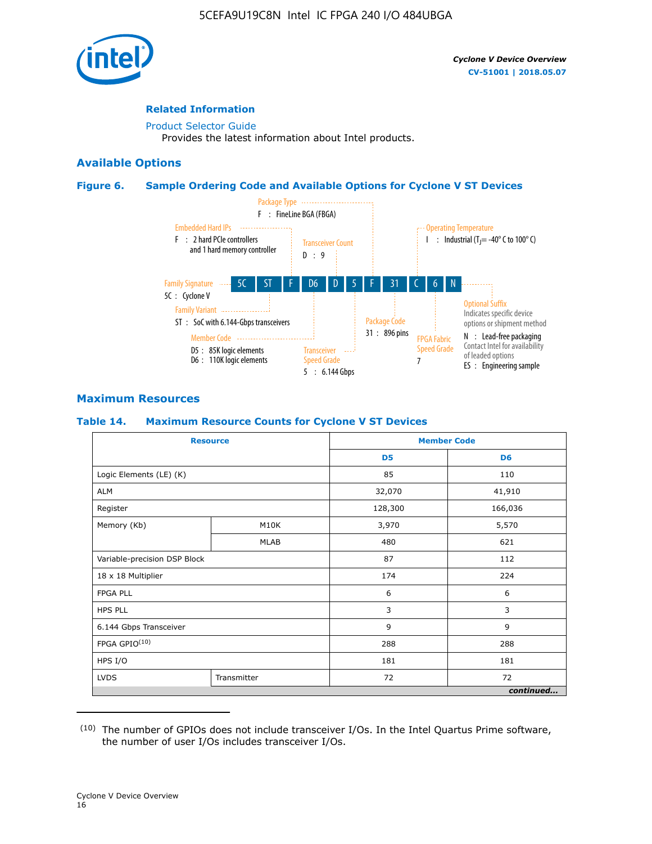

#### **Related Information**

[Product Selector Guide](https://www.altera.com/products/product-selector-guide.html) Provides the latest information about Intel products.

#### **Available Options**

#### **Figure 6. Sample Ordering Code and Available Options for Cyclone V ST Devices**



## **Maximum Resources**

#### **Table 14. Maximum Resource Counts for Cyclone V ST Devices**

| <b>Resource</b>              |             |                | <b>Member Code</b> |
|------------------------------|-------------|----------------|--------------------|
|                              |             | D <sub>5</sub> | D <sub>6</sub>     |
| Logic Elements (LE) (K)      |             | 85             | 110                |
| <b>ALM</b>                   |             | 32,070         | 41,910             |
| Register                     |             | 128,300        | 166,036            |
| Memory (Kb)                  | M10K        | 3,970          | 5,570              |
|                              | MLAB        | 480            | 621                |
| Variable-precision DSP Block |             | 87             | 112                |
| 18 x 18 Multiplier           |             | 174            | 224                |
| <b>FPGA PLL</b>              |             | 6              | 6                  |
| <b>HPS PLL</b>               |             | 3              | 3                  |
| 6.144 Gbps Transceiver       |             | 9              | 9                  |
| FPGA GPIO(10)                |             | 288            | 288                |
| HPS I/O                      |             | 181            | 181                |
| <b>LVDS</b>                  | Transmitter | 72             | 72                 |
|                              |             |                | continued          |

<sup>(10)</sup> The number of GPIOs does not include transceiver I/Os. In the Intel Quartus Prime software, the number of user I/Os includes transceiver I/Os.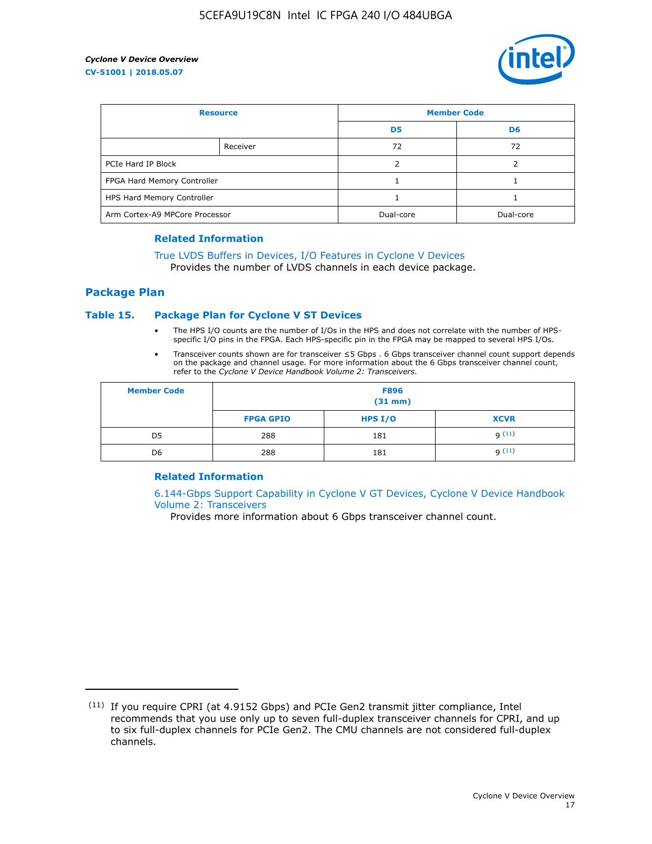

| <b>Resource</b>                |          | <b>Member Code</b> |                |  |
|--------------------------------|----------|--------------------|----------------|--|
|                                |          | D <sub>5</sub>     | D <sub>6</sub> |  |
|                                | Receiver | 72                 | 72             |  |
| PCIe Hard IP Block             |          |                    |                |  |
| FPGA Hard Memory Controller    |          |                    |                |  |
| HPS Hard Memory Controller     |          |                    |                |  |
| Arm Cortex-A9 MPCore Processor |          | Dual-core          | Dual-core      |  |

#### **Related Information**

# [True LVDS Buffers in Devices, I/O Features in Cyclone V Devices](https://www.altera.com/documentation/sam1403481100977.html#sam1403480885395)

Provides the number of LVDS channels in each device package.

#### **Package Plan**

#### **Table 15. Package Plan for Cyclone V ST Devices**

- The HPS I/O counts are the number of I/Os in the HPS and does not correlate with the number of HPSspecific I/O pins in the FPGA. Each HPS-specific pin in the FPGA may be mapped to several HPS I/Os.
- Transceiver counts shown are for transceiver ≤5 Gbps . 6 Gbps transceiver channel count support depends on the package and channel usage. For more information about the 6 Gbps transceiver channel count, refer to the *Cyclone V Device Handbook Volume 2: Transceivers*.

| <b>Member Code</b> | <b>F896</b><br>$(31$ mm $)$ |           |             |  |  |
|--------------------|-----------------------------|-----------|-------------|--|--|
|                    | <b>FPGA GPIO</b>            | HPS $I/O$ | <b>XCVR</b> |  |  |
| D <sub>5</sub>     | 288                         | 181       | 9(11)       |  |  |
| D <sub>6</sub>     | 288                         | 181       | q(11)       |  |  |

#### **Related Information**

[6.144-Gbps Support Capability in Cyclone V GT Devices, Cyclone V Device Handbook](https://www.altera.com/documentation/nik1409855456781.html#nik1409855410757) [Volume 2: Transceivers](https://www.altera.com/documentation/nik1409855456781.html#nik1409855410757)

Provides more information about 6 Gbps transceiver channel count.

<sup>(11)</sup> If you require CPRI (at 4.9152 Gbps) and PCIe Gen2 transmit jitter compliance, Intel recommends that you use only up to seven full-duplex transceiver channels for CPRI, and up to six full-duplex channels for PCIe Gen2. The CMU channels are not considered full-duplex channels.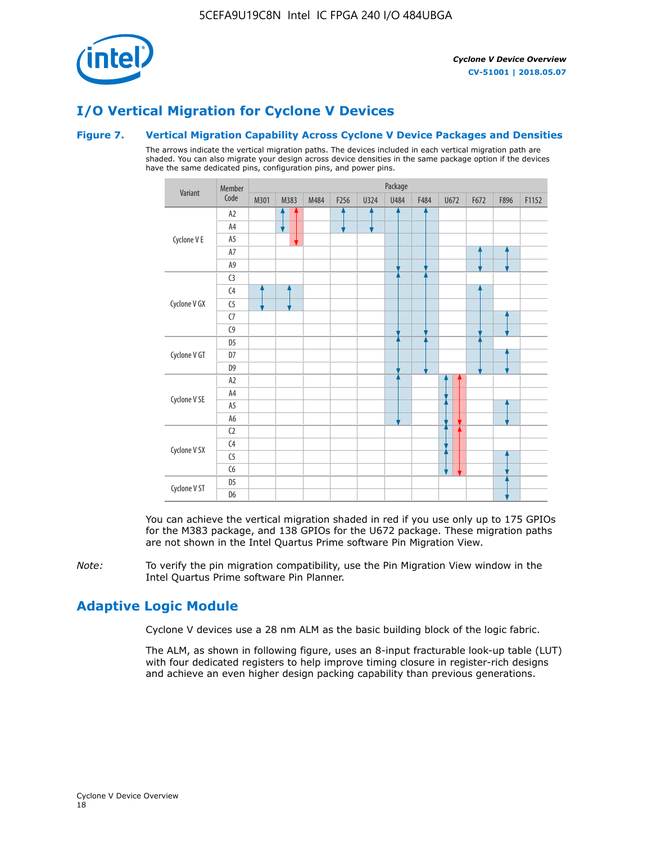

# **I/O Vertical Migration for Cyclone V Devices**

#### **Figure 7. Vertical Migration Capability Across Cyclone V Device Packages and Densities**

The arrows indicate the vertical migration paths. The devices included in each vertical migration path are shaded. You can also migrate your design across device densities in the same package option if the devices have the same dedicated pins, configuration pins, and power pins.



You can achieve the vertical migration shaded in red if you use only up to 175 GPIOs for the M383 package, and 138 GPIOs for the U672 package. These migration paths are not shown in the Intel Quartus Prime software Pin Migration View.

*Note:* To verify the pin migration compatibility, use the Pin Migration View window in the Intel Quartus Prime software Pin Planner.

# **Adaptive Logic Module**

Cyclone V devices use a 28 nm ALM as the basic building block of the logic fabric.

The ALM, as shown in following figure, uses an 8-input fracturable look-up table (LUT) with four dedicated registers to help improve timing closure in register-rich designs and achieve an even higher design packing capability than previous generations.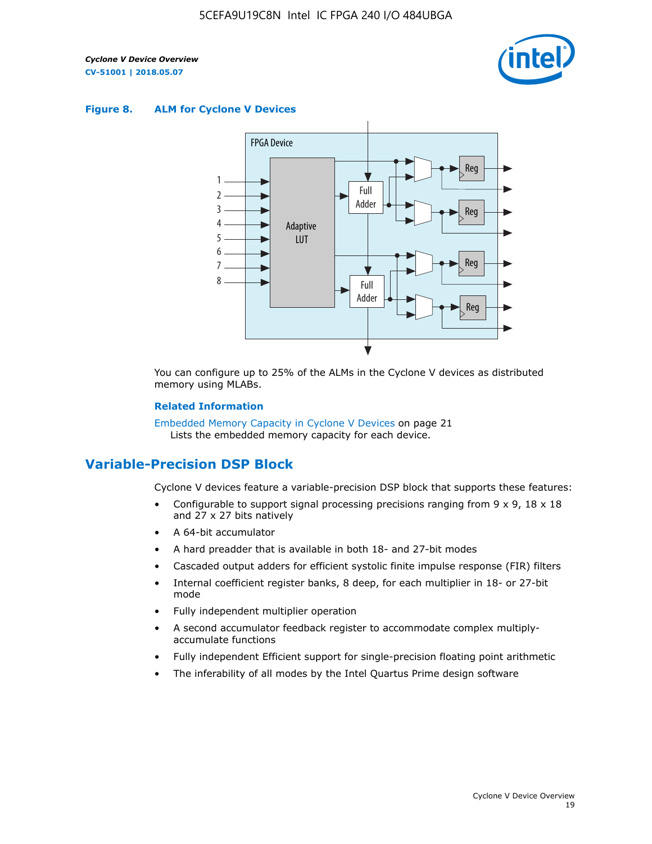

#### **Figure 8. ALM for Cyclone V Devices**



You can configure up to 25% of the ALMs in the Cyclone V devices as distributed memory using MLABs.

#### **Related Information**

Embedded Memory Capacity in Cyclone V Devices on page 21 Lists the embedded memory capacity for each device.

# **Variable-Precision DSP Block**

Cyclone V devices feature a variable-precision DSP block that supports these features:

- Configurable to support signal processing precisions ranging from  $9 \times 9$ ,  $18 \times 18$ and 27 x 27 bits natively
- A 64-bit accumulator
- A hard preadder that is available in both 18- and 27-bit modes
- Cascaded output adders for efficient systolic finite impulse response (FIR) filters
- Internal coefficient register banks, 8 deep, for each multiplier in 18- or 27-bit mode
- Fully independent multiplier operation
- A second accumulator feedback register to accommodate complex multiplyaccumulate functions
- Fully independent Efficient support for single-precision floating point arithmetic
- The inferability of all modes by the Intel Quartus Prime design software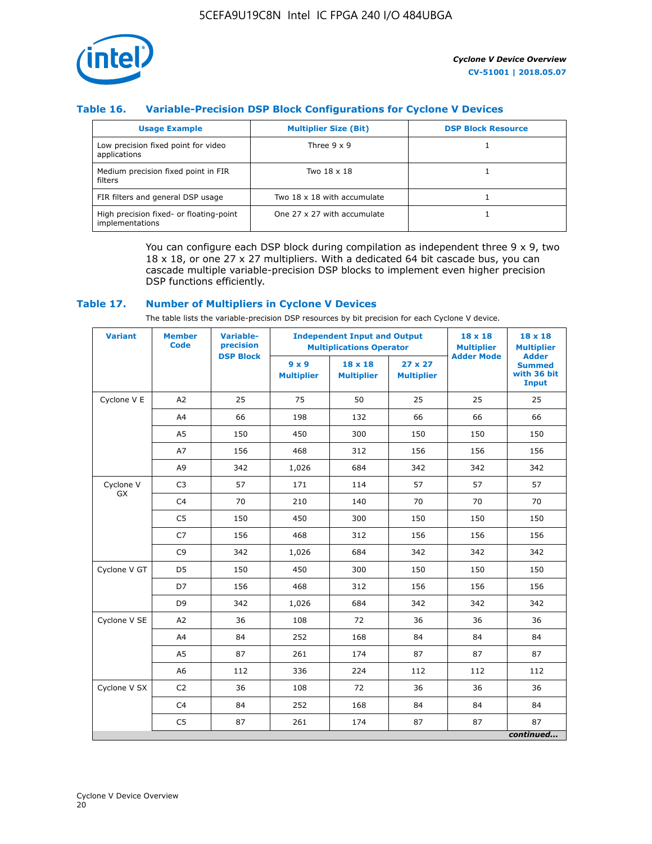

## **Table 16. Variable-Precision DSP Block Configurations for Cyclone V Devices**

| <b>Usage Example</b>                                       | <b>Multiplier Size (Bit)</b> | <b>DSP Block Resource</b> |
|------------------------------------------------------------|------------------------------|---------------------------|
| Low precision fixed point for video<br>applications        | Three $9 \times 9$           |                           |
| Medium precision fixed point in FIR<br>filters             | Two 18 x 18                  |                           |
| FIR filters and general DSP usage                          | Two 18 x 18 with accumulate  |                           |
| High precision fixed- or floating-point<br>implementations | One 27 x 27 with accumulate  |                           |

You can configure each DSP block during compilation as independent three  $9 \times 9$ , two 18 x 18, or one 27 x 27 multipliers. With a dedicated 64 bit cascade bus, you can cascade multiple variable-precision DSP blocks to implement even higher precision DSP functions efficiently.

#### **Table 17. Number of Multipliers in Cyclone V Devices**

The table lists the variable-precision DSP resources by bit precision for each Cyclone V device.

| <b>Variant</b>         | <b>Member</b><br><b>Code</b> | <b>Variable-</b><br>precision |                                   | <b>Independent Input and Output</b><br><b>Multiplications Operator</b> | $18 \times 18$<br><b>Multiplier</b> | $18 \times 18$<br><b>Multiplier</b> |                                                              |
|------------------------|------------------------------|-------------------------------|-----------------------------------|------------------------------------------------------------------------|-------------------------------------|-------------------------------------|--------------------------------------------------------------|
|                        |                              | <b>DSP Block</b>              | $9 \times 9$<br><b>Multiplier</b> | $18 \times 18$<br><b>Multiplier</b>                                    | $27 \times 27$<br><b>Multiplier</b> | <b>Adder Mode</b>                   | <b>Adder</b><br><b>Summed</b><br>with 36 bit<br><b>Input</b> |
| Cyclone V E            | A2                           | 25                            | 75                                | 50                                                                     | 25                                  | 25                                  | 25                                                           |
|                        | A4                           | 66                            | 198                               | 132                                                                    | 66                                  | 66                                  | 66                                                           |
|                        | A5                           | 150                           | 450                               | 300                                                                    | 150                                 | 150                                 | 150                                                          |
|                        | A7                           | 156                           | 468                               | 312                                                                    | 156                                 | 156                                 | 156                                                          |
|                        | A9                           | 342                           | 1,026                             | 684                                                                    | 342                                 | 342                                 | 342                                                          |
| Cyclone V<br><b>GX</b> | C <sub>3</sub>               | 57                            | 171                               | 114                                                                    | 57                                  | 57                                  | 57                                                           |
|                        | C <sub>4</sub>               | 70                            | 210                               | 140                                                                    | 70                                  | 70                                  | 70                                                           |
|                        | C <sub>5</sub>               | 150                           | 450                               | 300                                                                    | 150                                 | 150                                 | 150                                                          |
|                        | C <sub>7</sub>               | 156                           | 468                               | 312                                                                    | 156                                 | 156                                 | 156                                                          |
|                        | C <sub>9</sub>               | 342                           | 1,026                             | 684                                                                    | 342                                 | 342                                 | 342                                                          |
| Cyclone V GT           | D <sub>5</sub>               | 150                           | 450                               | 300                                                                    | 150                                 | 150                                 | 150                                                          |
|                        | D7                           | 156                           | 468                               | 312                                                                    | 156                                 | 156                                 | 156                                                          |
|                        | D <sub>9</sub>               | 342                           | 1,026                             | 684                                                                    | 342                                 | 342                                 | 342                                                          |
| Cyclone V SE           | A <sub>2</sub>               | 36                            | 108                               | 72                                                                     | 36                                  | 36                                  | 36                                                           |
|                        | A4                           | 84                            | 252                               | 168                                                                    | 84                                  | 84                                  | 84                                                           |
|                        | A5                           | 87                            | 261                               | 174                                                                    | 87                                  | 87                                  | 87                                                           |
|                        | A <sub>6</sub>               | 112                           | 336                               | 224                                                                    | 112                                 | 112                                 | 112                                                          |
| Cyclone V SX           | C <sub>2</sub>               | 36                            | 108                               | 72                                                                     | 36                                  | 36                                  | 36                                                           |
|                        | C <sub>4</sub>               | 84                            | 252                               | 168                                                                    | 84                                  | 84                                  | 84                                                           |
|                        | C <sub>5</sub>               | 87                            | 261                               | 174                                                                    | 87                                  | 87                                  | 87                                                           |
|                        |                              |                               |                                   |                                                                        |                                     |                                     | continued                                                    |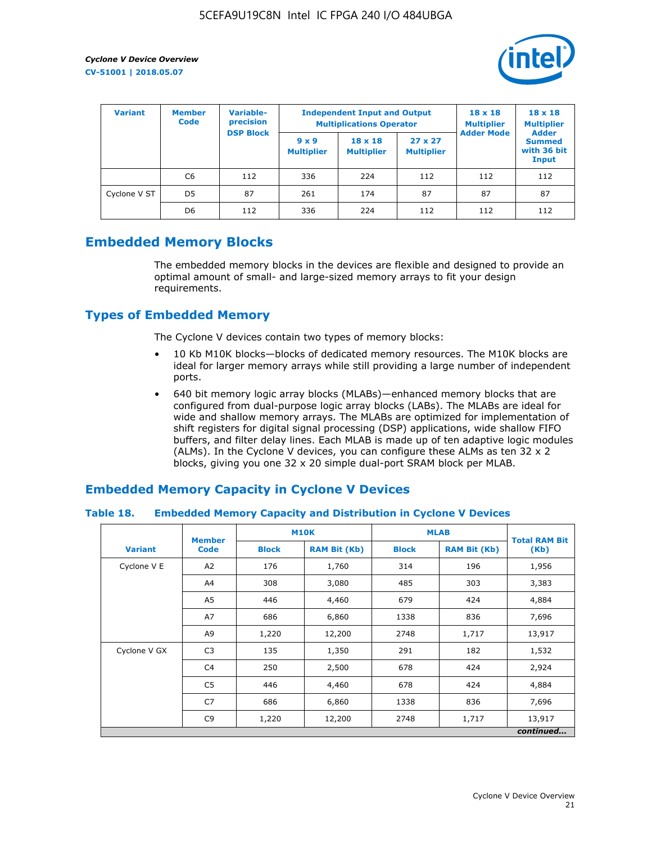

| <b>Variant</b> | <b>Variable-</b><br><b>Member</b><br>precision<br><b>Code</b> |                  | <b>Independent Input and Output</b><br><b>Multiplications Operator</b> | $18 \times 18$<br><b>Multiplier</b> | $18 \times 18$<br><b>Multiplier</b><br><b>Adder</b> |                   |                                       |
|----------------|---------------------------------------------------------------|------------------|------------------------------------------------------------------------|-------------------------------------|-----------------------------------------------------|-------------------|---------------------------------------|
|                |                                                               | <b>DSP Block</b> | $9 \times 9$<br><b>Multiplier</b>                                      | $18 \times 18$<br><b>Multiplier</b> | $27 \times 27$<br><b>Multiplier</b>                 | <b>Adder Mode</b> | <b>Summed</b><br>with 36 bit<br>Input |
|                | C6                                                            | 112              | 336                                                                    | 224                                 | 112                                                 | 112               | 112                                   |
| Cyclone V ST   | D <sub>5</sub>                                                | 87               | 261                                                                    | 174                                 | 87                                                  | 87                | 87                                    |
|                | D <sub>6</sub>                                                | 112              | 336                                                                    | 224                                 | 112                                                 | 112               | 112                                   |

# **Embedded Memory Blocks**

The embedded memory blocks in the devices are flexible and designed to provide an optimal amount of small- and large-sized memory arrays to fit your design requirements.

# **Types of Embedded Memory**

The Cyclone V devices contain two types of memory blocks:

- 10 Kb M10K blocks—blocks of dedicated memory resources. The M10K blocks are ideal for larger memory arrays while still providing a large number of independent ports.
- 640 bit memory logic array blocks (MLABs)—enhanced memory blocks that are configured from dual-purpose logic array blocks (LABs). The MLABs are ideal for wide and shallow memory arrays. The MLABs are optimized for implementation of shift registers for digital signal processing (DSP) applications, wide shallow FIFO buffers, and filter delay lines. Each MLAB is made up of ten adaptive logic modules (ALMs). In the Cyclone V devices, you can configure these ALMs as ten 32 x 2 blocks, giving you one 32 x 20 simple dual-port SRAM block per MLAB.

# **Embedded Memory Capacity in Cyclone V Devices**

#### **Table 18. Embedded Memory Capacity and Distribution in Cyclone V Devices**

|                | <b>Member</b>  | <b>M10K</b>                         |        | <b>MLAB</b>  | <b>Total RAM Bit</b> |        |  |  |  |
|----------------|----------------|-------------------------------------|--------|--------------|----------------------|--------|--|--|--|
| <b>Variant</b> | <b>Code</b>    | <b>Block</b><br><b>RAM Bit (Kb)</b> |        | <b>Block</b> | <b>RAM Bit (Kb)</b>  | (Kb)   |  |  |  |
| Cyclone V E    | A2             | 176                                 | 1,760  | 314          | 196                  | 1,956  |  |  |  |
|                | A4             | 308                                 | 3,080  | 485          | 303                  | 3,383  |  |  |  |
|                | A5             | 446                                 | 4,460  | 679          | 424                  | 4,884  |  |  |  |
|                | A7             | 686                                 | 6,860  | 1338         | 836                  | 7,696  |  |  |  |
|                | A9             | 1,220                               | 12,200 | 2748         | 1,717                | 13,917 |  |  |  |
| Cyclone V GX   | C <sub>3</sub> | 135                                 | 1,350  | 291          | 182                  | 1,532  |  |  |  |
|                | C4             | 250                                 | 2,500  | 678          | 424                  | 2,924  |  |  |  |
|                | C5             | 446                                 | 4,460  | 678          | 424                  | 4,884  |  |  |  |
|                | C7             | 686                                 | 6,860  | 1338         | 836                  | 7,696  |  |  |  |
|                | C <sub>9</sub> | 1,220                               | 12,200 | 2748         | 1,717                | 13,917 |  |  |  |
|                | continued      |                                     |        |              |                      |        |  |  |  |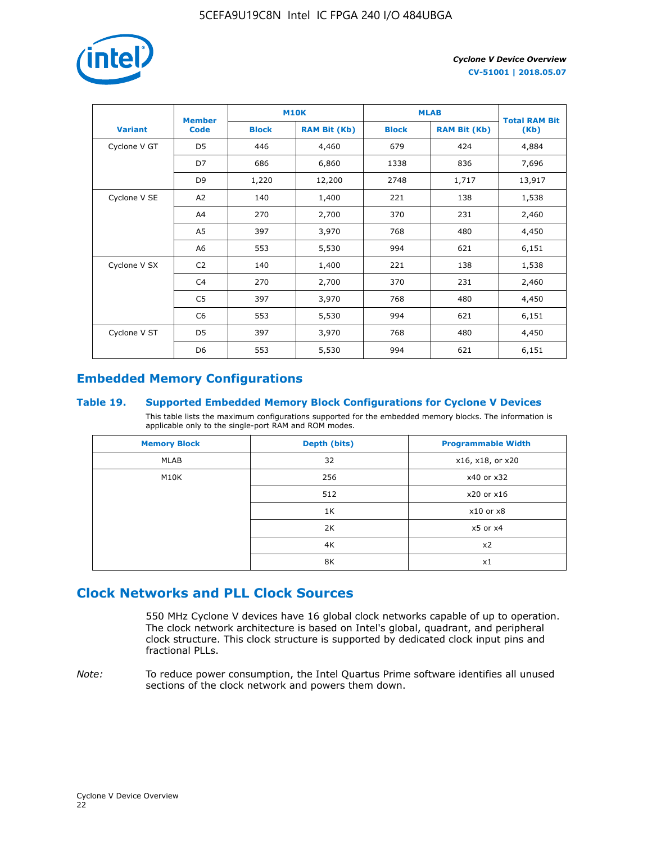

|                | <b>Member</b>  | <b>M10K</b>  |                     | <b>MLAB</b>  | <b>Total RAM Bit</b> |        |
|----------------|----------------|--------------|---------------------|--------------|----------------------|--------|
| <b>Variant</b> | <b>Code</b>    | <b>Block</b> | <b>RAM Bit (Kb)</b> | <b>Block</b> | <b>RAM Bit (Kb)</b>  | (Kb)   |
| Cyclone V GT   | D <sub>5</sub> | 446          | 4,460               | 679          | 424                  | 4,884  |
|                | D7             | 686          | 6,860               | 1338         | 836                  | 7,696  |
|                | D <sub>9</sub> | 1,220        | 12,200              | 2748         | 1,717                | 13,917 |
| Cyclone V SE   | A <sub>2</sub> | 140          | 1,400               | 221          | 138                  | 1,538  |
|                | A4             | 270          | 2,700               | 370          | 231                  | 2,460  |
|                | A5             | 397          | 3,970               | 768          | 480                  | 4,450  |
|                | A6             | 553          | 5,530               | 994          | 621                  | 6,151  |
| Cyclone V SX   | C <sub>2</sub> | 140          | 1,400               | 221          | 138                  | 1,538  |
|                | C4             | 270          | 2,700               | 370          | 231                  | 2,460  |
|                | C5             | 397          | 3,970               | 768          | 480                  | 4,450  |
|                | C <sub>6</sub> | 553          | 5,530               | 994          | 621                  | 6,151  |
| Cyclone V ST   | D <sub>5</sub> | 397          | 3,970               | 768          | 480                  | 4,450  |
|                | D <sub>6</sub> | 553          | 5,530               | 994          | 621                  | 6,151  |

# **Embedded Memory Configurations**

#### **Table 19. Supported Embedded Memory Block Configurations for Cyclone V Devices**

This table lists the maximum configurations supported for the embedded memory blocks. The information is applicable only to the single-port RAM and ROM modes.

| <b>Memory Block</b> | Depth (bits) | <b>Programmable Width</b> |
|---------------------|--------------|---------------------------|
| MLAB                | 32           | x16, x18, or x20          |
| M10K                | 256          | x40 or x32                |
|                     | 512          | x20 or x16                |
|                     | 1K           | $x10$ or $x8$             |
|                     | 2K           | $x5$ or $x4$              |
|                     | 4K           | x2                        |
|                     | 8K           | x1                        |

# **Clock Networks and PLL Clock Sources**

550 MHz Cyclone V devices have 16 global clock networks capable of up to operation. The clock network architecture is based on Intel's global, quadrant, and peripheral clock structure. This clock structure is supported by dedicated clock input pins and fractional PLLs.

*Note:* To reduce power consumption, the Intel Quartus Prime software identifies all unused sections of the clock network and powers them down.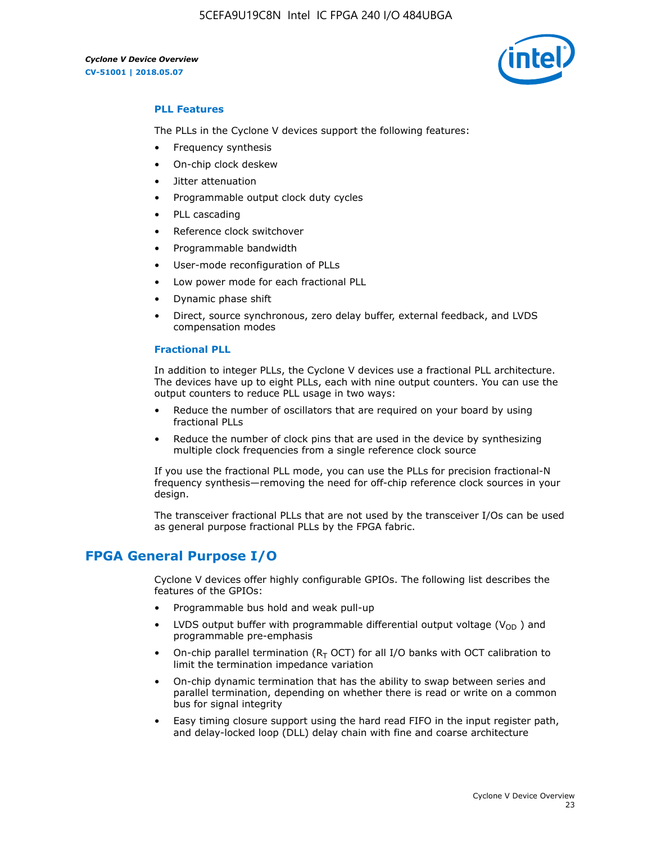5CEFA9U19C8N Intel IC FPGA 240 I/O 484UBGA



## **PLL Features**

The PLLs in the Cyclone V devices support the following features:

- Frequency synthesis
- On-chip clock deskew
- Jitter attenuation
- Programmable output clock duty cycles
- PLL cascading
- Reference clock switchover
- Programmable bandwidth
- User-mode reconfiguration of PLLs
- Low power mode for each fractional PLL
- Dynamic phase shift
- Direct, source synchronous, zero delay buffer, external feedback, and LVDS compensation modes

#### **Fractional PLL**

In addition to integer PLLs, the Cyclone V devices use a fractional PLL architecture. The devices have up to eight PLLs, each with nine output counters. You can use the output counters to reduce PLL usage in two ways:

- Reduce the number of oscillators that are required on your board by using fractional PLLs
- Reduce the number of clock pins that are used in the device by synthesizing multiple clock frequencies from a single reference clock source

If you use the fractional PLL mode, you can use the PLLs for precision fractional-N frequency synthesis—removing the need for off-chip reference clock sources in your design.

The transceiver fractional PLLs that are not used by the transceiver I/Os can be used as general purpose fractional PLLs by the FPGA fabric.

# **FPGA General Purpose I/O**

Cyclone V devices offer highly configurable GPIOs. The following list describes the features of the GPIOs:

- Programmable bus hold and weak pull-up
- LVDS output buffer with programmable differential output voltage ( $V_{OD}$ ) and programmable pre-emphasis
- On-chip parallel termination ( $R<sub>T</sub>$  OCT) for all I/O banks with OCT calibration to limit the termination impedance variation
- On-chip dynamic termination that has the ability to swap between series and parallel termination, depending on whether there is read or write on a common bus for signal integrity
- Easy timing closure support using the hard read FIFO in the input register path, and delay-locked loop (DLL) delay chain with fine and coarse architecture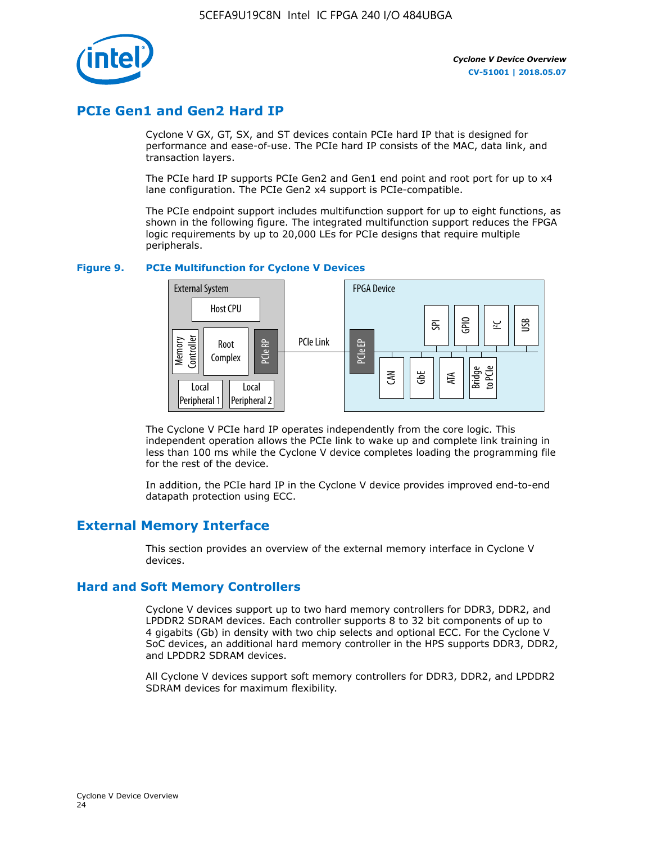

# **PCIe Gen1 and Gen2 Hard IP**

Cyclone V GX, GT, SX, and ST devices contain PCIe hard IP that is designed for performance and ease-of-use. The PCIe hard IP consists of the MAC, data link, and transaction layers.

The PCIe hard IP supports PCIe Gen2 and Gen1 end point and root port for up to x4 lane configuration. The PCIe Gen2 x4 support is PCIe-compatible.

The PCIe endpoint support includes multifunction support for up to eight functions, as shown in the following figure. The integrated multifunction support reduces the FPGA logic requirements by up to 20,000 LEs for PCIe designs that require multiple peripherals.

#### **Figure 9. PCIe Multifunction for Cyclone V Devices**



The Cyclone V PCIe hard IP operates independently from the core logic. This independent operation allows the PCIe link to wake up and complete link training in less than 100 ms while the Cyclone V device completes loading the programming file for the rest of the device.

In addition, the PCIe hard IP in the Cyclone V device provides improved end-to-end datapath protection using ECC.

# **External Memory Interface**

This section provides an overview of the external memory interface in Cyclone V devices.

## **Hard and Soft Memory Controllers**

Cyclone V devices support up to two hard memory controllers for DDR3, DDR2, and LPDDR2 SDRAM devices. Each controller supports 8 to 32 bit components of up to 4 gigabits (Gb) in density with two chip selects and optional ECC. For the Cyclone V SoC devices, an additional hard memory controller in the HPS supports DDR3, DDR2, and LPDDR2 SDRAM devices.

All Cyclone V devices support soft memory controllers for DDR3, DDR2, and LPDDR2 SDRAM devices for maximum flexibility.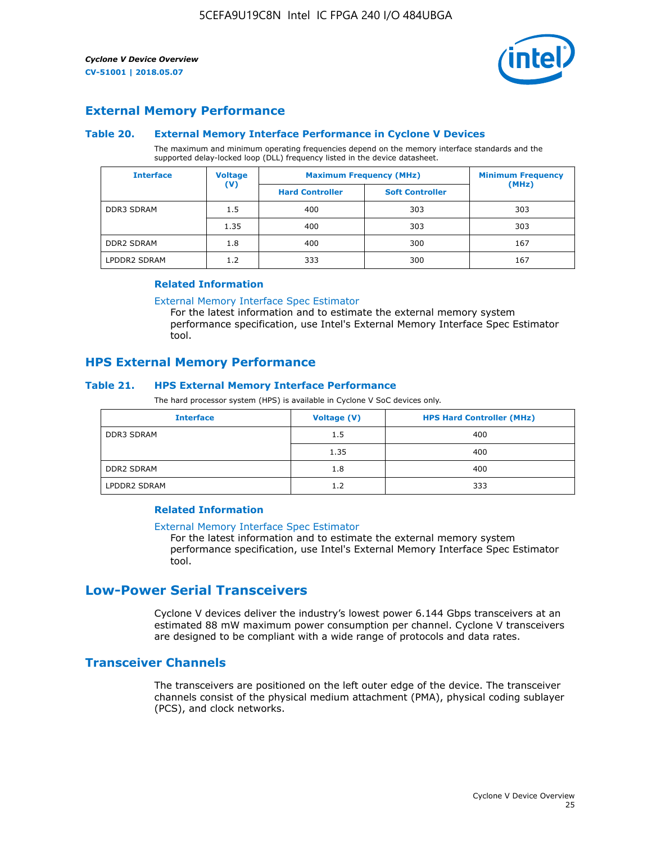

## **External Memory Performance**

#### **Table 20. External Memory Interface Performance in Cyclone V Devices**

The maximum and minimum operating frequencies depend on the memory interface standards and the supported delay-locked loop (DLL) frequency listed in the device datasheet.

| <b>Voltage</b><br><b>Interface</b> |                | <b>Maximum Frequency (MHz)</b> | <b>Minimum Frequency</b> |       |  |
|------------------------------------|----------------|--------------------------------|--------------------------|-------|--|
|                                    | $(\mathsf{V})$ | <b>Hard Controller</b>         | <b>Soft Controller</b>   | (MHz) |  |
| <b>DDR3 SDRAM</b>                  | 1.5            | 400                            | 303                      | 303   |  |
|                                    | 1.35           | 400                            | 303                      | 303   |  |
| <b>DDR2 SDRAM</b>                  | 1.8            | 400                            | 300                      | 167   |  |
| LPDDR2 SDRAM                       | 1.2            | 333                            | 300                      | 167   |  |

#### **Related Information**

[External Memory Interface Spec Estimator](https://www.altera.com/solutions/technology/external-memory/spec-estimator.html)

For the latest information and to estimate the external memory system performance specification, use Intel's External Memory Interface Spec Estimator tool.

## **HPS External Memory Performance**

#### **Table 21. HPS External Memory Interface Performance**

The hard processor system (HPS) is available in Cyclone V SoC devices only.

| <b>Interface</b>  | <b>Voltage (V)</b> | <b>HPS Hard Controller (MHz)</b> |
|-------------------|--------------------|----------------------------------|
| <b>DDR3 SDRAM</b> | 1.5                | 400                              |
|                   | 1.35               | 400                              |
| <b>DDR2 SDRAM</b> | 1.8                | 400                              |
| LPDDR2 SDRAM      | 1.2                | 333                              |

#### **Related Information**

#### [External Memory Interface Spec Estimator](https://www.altera.com/solutions/technology/external-memory/spec-estimator.html)

For the latest information and to estimate the external memory system performance specification, use Intel's External Memory Interface Spec Estimator tool.

# **Low-Power Serial Transceivers**

Cyclone V devices deliver the industry's lowest power 6.144 Gbps transceivers at an estimated 88 mW maximum power consumption per channel. Cyclone V transceivers are designed to be compliant with a wide range of protocols and data rates.

## **Transceiver Channels**

The transceivers are positioned on the left outer edge of the device. The transceiver channels consist of the physical medium attachment (PMA), physical coding sublayer (PCS), and clock networks.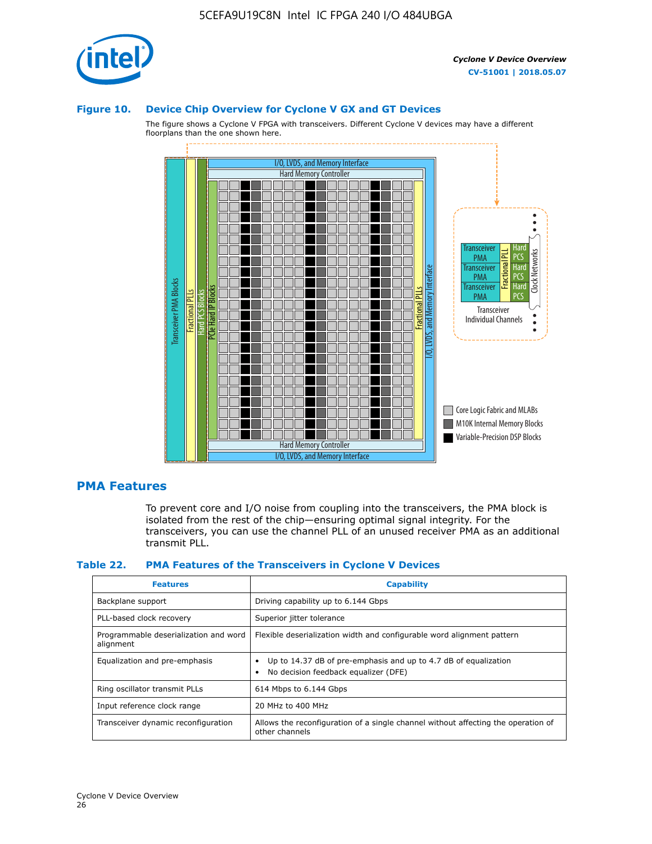

#### **Figure 10. Device Chip Overview for Cyclone V GX and GT Devices**

The figure shows a Cyclone V FPGA with transceivers. Different Cyclone V devices may have a different floorplans than the one shown here.



## **PMA Features**

To prevent core and I/O noise from coupling into the transceivers, the PMA block is isolated from the rest of the chip—ensuring optimal signal integrity. For the transceivers, you can use the channel PLL of an unused receiver PMA as an additional transmit PLL.

#### **Table 22. PMA Features of the Transceivers in Cyclone V Devices**

| <b>Features</b>                                    | <b>Capability</b>                                                                                       |
|----------------------------------------------------|---------------------------------------------------------------------------------------------------------|
| Backplane support                                  | Driving capability up to 6.144 Gbps                                                                     |
| PLL-based clock recovery                           | Superior jitter tolerance                                                                               |
| Programmable deserialization and word<br>alignment | Flexible deserialization width and configurable word alignment pattern                                  |
| Equalization and pre-emphasis                      | Up to 14.37 dB of pre-emphasis and up to 4.7 dB of equalization<br>No decision feedback equalizer (DFE) |
| Ring oscillator transmit PLLs                      | 614 Mbps to 6.144 Gbps                                                                                  |
| Input reference clock range                        | 20 MHz to 400 MHz                                                                                       |
| Transceiver dynamic reconfiguration                | Allows the reconfiguration of a single channel without affecting the operation of<br>other channels     |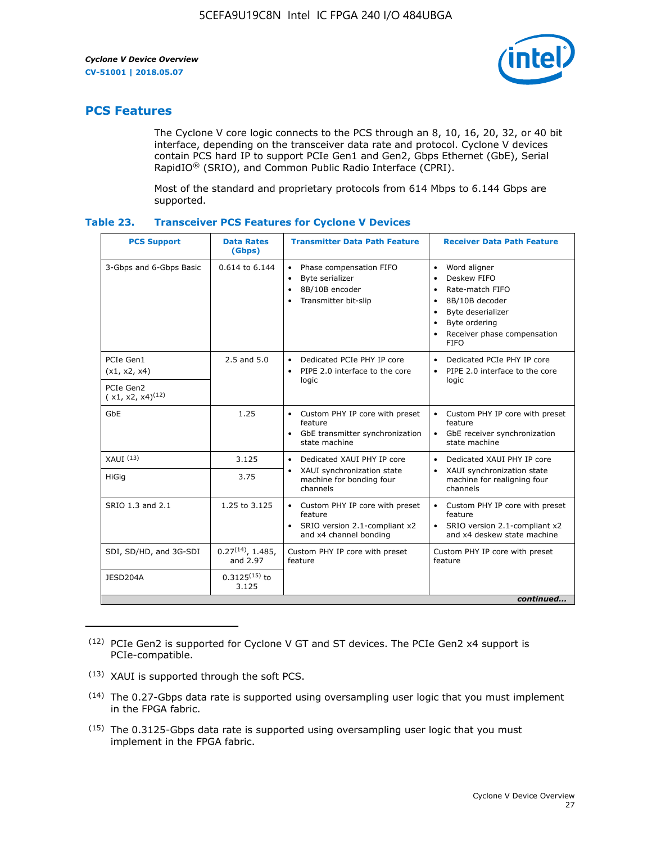

# **PCS Features**

The Cyclone V core logic connects to the PCS through an 8, 10, 16, 20, 32, or 40 bit interface, depending on the transceiver data rate and protocol. Cyclone V devices contain PCS hard IP to support PCIe Gen1 and Gen2, Gbps Ethernet (GbE), Serial RapidIO® (SRIO), and Common Public Radio Interface (CPRI).

Most of the standard and proprietary protocols from 614 Mbps to 6.144 Gbps are supported.

| Table 23. | <b>Transceiver PCS Features for Cyclone V Devices</b> |  |  |  |
|-----------|-------------------------------------------------------|--|--|--|
|-----------|-------------------------------------------------------|--|--|--|

| <b>PCS Support</b>                 | <b>Data Rates</b><br>(Gbps)        | <b>Transmitter Data Path Feature</b>                                                                           | <b>Receiver Data Path Feature</b>                                                                                                                                                                                                  |  |  |  |
|------------------------------------|------------------------------------|----------------------------------------------------------------------------------------------------------------|------------------------------------------------------------------------------------------------------------------------------------------------------------------------------------------------------------------------------------|--|--|--|
| 3-Gbps and 6-Gbps Basic            | 0.614 to 6.144                     | Phase compensation FIFO<br>$\bullet$<br>Byte serializer<br>8B/10B encoder<br>Transmitter bit-slip<br>$\bullet$ | Word aligner<br>$\bullet$<br>Deskew FIFO<br>$\bullet$<br>Rate-match FIFO<br>$\bullet$<br>8B/10B decoder<br>$\bullet$<br>Byte deserializer<br>$\bullet$<br>Byte ordering<br>$\bullet$<br>Receiver phase compensation<br><b>FIFO</b> |  |  |  |
| PCIe Gen1<br>(x1, x2, x4)          | $2.5$ and $5.0$                    | Dedicated PCIe PHY IP core<br>PIPE 2.0 interface to the core<br>$\bullet$<br>logic                             | Dedicated PCIe PHY IP core<br>$\bullet$<br>PIPE 2.0 interface to the core<br>$\bullet$<br>logic                                                                                                                                    |  |  |  |
| PCIe Gen2<br>$(x1, x2, x4)^{(12)}$ |                                    |                                                                                                                |                                                                                                                                                                                                                                    |  |  |  |
| GbE                                | 1.25                               | • Custom PHY IP core with preset<br>feature<br>GbE transmitter synchronization<br>$\bullet$<br>state machine   | Custom PHY IP core with preset<br>feature<br>GbE receiver synchronization<br>state machine                                                                                                                                         |  |  |  |
| $XAlJI$ $(13)$                     | 3.125                              | Dedicated XAUI PHY IP core<br>$\bullet$                                                                        | Dedicated XAUI PHY IP core<br>$\bullet$                                                                                                                                                                                            |  |  |  |
| <b>HiGig</b>                       | 3.75                               | XAUI synchronization state<br>$\bullet$<br>machine for bonding four<br>channels                                | XAUI synchronization state<br>$\bullet$<br>machine for realigning four<br>channels                                                                                                                                                 |  |  |  |
| SRIO 1.3 and 2.1                   | 1.25 to 3.125                      | • Custom PHY IP core with preset<br>feature<br>• SRIO version 2.1-compliant x2<br>and x4 channel bonding       | • Custom PHY IP core with preset<br>feature<br>• SRIO version 2.1-compliant x2<br>and x4 deskew state machine                                                                                                                      |  |  |  |
| SDI, SD/HD, and 3G-SDI             | $0.27^{(14)}$ , 1.485,<br>and 2.97 | Custom PHY IP core with preset<br>feature                                                                      | Custom PHY IP core with preset<br>feature                                                                                                                                                                                          |  |  |  |
| JESD204A                           | $0.3125^{(15)}$ to<br>3.125        |                                                                                                                |                                                                                                                                                                                                                                    |  |  |  |
| continued                          |                                    |                                                                                                                |                                                                                                                                                                                                                                    |  |  |  |

<sup>(12)</sup> PCIe Gen2 is supported for Cyclone V GT and ST devices. The PCIe Gen2 x4 support is PCIe-compatible.

<sup>(13)</sup> XAUI is supported through the soft PCS.

<sup>(14)</sup> The 0.27-Gbps data rate is supported using oversampling user logic that you must implement in the FPGA fabric.

<sup>(15)</sup> The 0.3125-Gbps data rate is supported using oversampling user logic that you must implement in the FPGA fabric.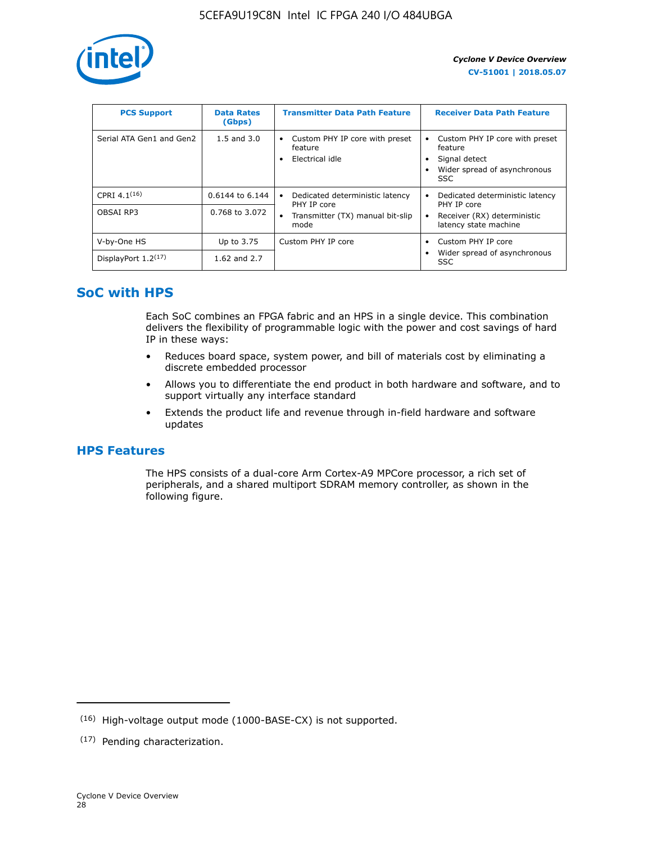

| <b>PCS Support</b>       | <b>Data Rates</b><br>(Gbps) | <b>Transmitter Data Path Feature</b>                         | <b>Receiver Data Path Feature</b>                                                                  |
|--------------------------|-----------------------------|--------------------------------------------------------------|----------------------------------------------------------------------------------------------------|
| Serial ATA Gen1 and Gen2 | $1.5$ and $3.0$             | Custom PHY IP core with preset<br>feature<br>Electrical idle | Custom PHY IP core with preset<br>feature<br>Signal detect<br>Wider spread of asynchronous<br>SSC. |
| CPRI 4.1 $(16)$          | 0.6144 to 6.144             | Dedicated deterministic latency<br>٠<br>PHY IP core          | Dedicated deterministic latency<br>PHY IP core                                                     |
| OBSAI RP3                | 0.768 to 3.072              | Transmitter (TX) manual bit-slip<br>mode                     | Receiver (RX) deterministic<br>latency state machine                                               |
| V-by-One HS              | Up to 3.75                  | Custom PHY IP core                                           | Custom PHY IP core                                                                                 |
| DisplayPort $1.2^{(17)}$ | 1.62 and $2.7$              |                                                              | Wider spread of asynchronous<br><b>SSC</b>                                                         |

# **SoC with HPS**

Each SoC combines an FPGA fabric and an HPS in a single device. This combination delivers the flexibility of programmable logic with the power and cost savings of hard IP in these ways:

- Reduces board space, system power, and bill of materials cost by eliminating a discrete embedded processor
- Allows you to differentiate the end product in both hardware and software, and to support virtually any interface standard
- Extends the product life and revenue through in-field hardware and software updates

# **HPS Features**

The HPS consists of a dual-core Arm Cortex-A9 MPCore processor, a rich set of peripherals, and a shared multiport SDRAM memory controller, as shown in the following figure.

<sup>(16)</sup> High-voltage output mode (1000-BASE-CX) is not supported.

<sup>(17)</sup> Pending characterization.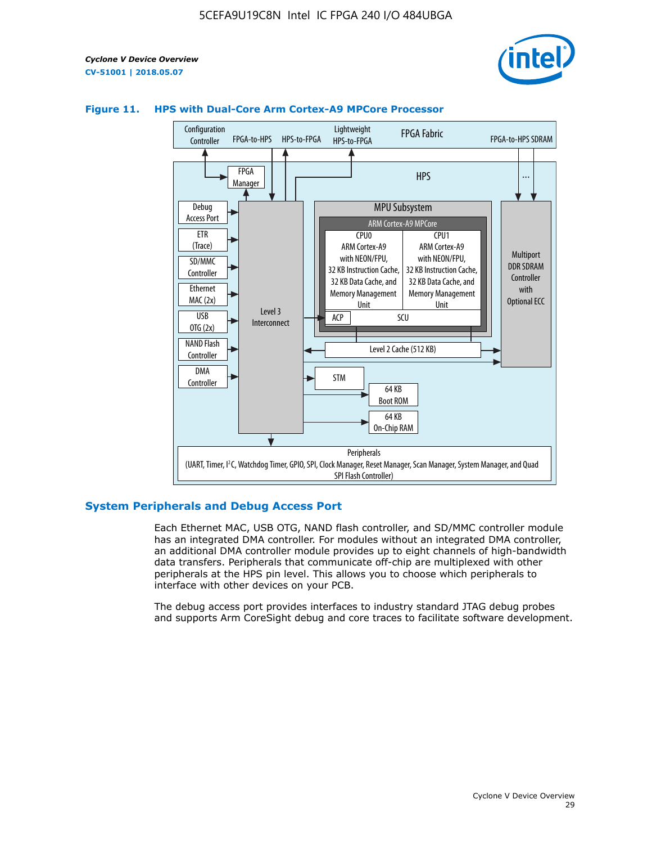



#### **Figure 11. HPS with Dual-Core Arm Cortex-A9 MPCore Processor**

#### **System Peripherals and Debug Access Port**

Each Ethernet MAC, USB OTG, NAND flash controller, and SD/MMC controller module has an integrated DMA controller. For modules without an integrated DMA controller, an additional DMA controller module provides up to eight channels of high-bandwidth data transfers. Peripherals that communicate off-chip are multiplexed with other peripherals at the HPS pin level. This allows you to choose which peripherals to interface with other devices on your PCB.

The debug access port provides interfaces to industry standard JTAG debug probes and supports Arm CoreSight debug and core traces to facilitate software development.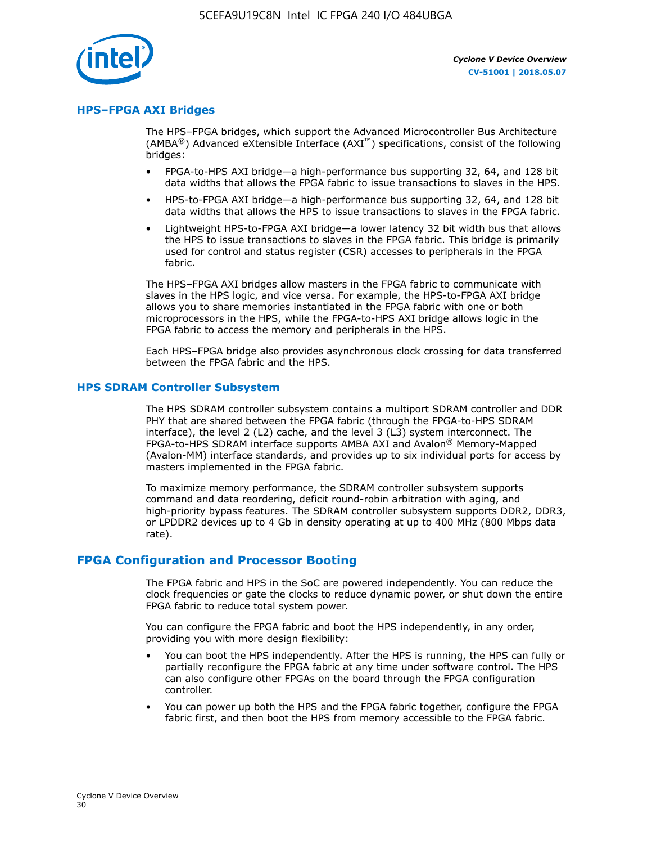

#### **HPS–FPGA AXI Bridges**

The HPS–FPGA bridges, which support the Advanced Microcontroller Bus Architecture (AMBA<sup>®</sup>) Advanced eXtensible Interface (AXI<sup>™</sup>) specifications, consist of the following bridges:

- FPGA-to-HPS AXI bridge—a high-performance bus supporting 32, 64, and 128 bit data widths that allows the FPGA fabric to issue transactions to slaves in the HPS.
- HPS-to-FPGA AXI bridge—a high-performance bus supporting 32, 64, and 128 bit data widths that allows the HPS to issue transactions to slaves in the FPGA fabric.
- Lightweight HPS-to-FPGA AXI bridge—a lower latency 32 bit width bus that allows the HPS to issue transactions to slaves in the FPGA fabric. This bridge is primarily used for control and status register (CSR) accesses to peripherals in the FPGA fabric.

The HPS–FPGA AXI bridges allow masters in the FPGA fabric to communicate with slaves in the HPS logic, and vice versa. For example, the HPS-to-FPGA AXI bridge allows you to share memories instantiated in the FPGA fabric with one or both microprocessors in the HPS, while the FPGA-to-HPS AXI bridge allows logic in the FPGA fabric to access the memory and peripherals in the HPS.

Each HPS–FPGA bridge also provides asynchronous clock crossing for data transferred between the FPGA fabric and the HPS.

#### **HPS SDRAM Controller Subsystem**

The HPS SDRAM controller subsystem contains a multiport SDRAM controller and DDR PHY that are shared between the FPGA fabric (through the FPGA-to-HPS SDRAM interface), the level 2 (L2) cache, and the level 3 (L3) system interconnect. The FPGA-to-HPS SDRAM interface supports AMBA AXI and Avalon® Memory-Mapped (Avalon-MM) interface standards, and provides up to six individual ports for access by masters implemented in the FPGA fabric.

To maximize memory performance, the SDRAM controller subsystem supports command and data reordering, deficit round-robin arbitration with aging, and high-priority bypass features. The SDRAM controller subsystem supports DDR2, DDR3, or LPDDR2 devices up to 4 Gb in density operating at up to 400 MHz (800 Mbps data rate).

#### **FPGA Configuration and Processor Booting**

The FPGA fabric and HPS in the SoC are powered independently. You can reduce the clock frequencies or gate the clocks to reduce dynamic power, or shut down the entire FPGA fabric to reduce total system power.

You can configure the FPGA fabric and boot the HPS independently, in any order, providing you with more design flexibility:

- You can boot the HPS independently. After the HPS is running, the HPS can fully or partially reconfigure the FPGA fabric at any time under software control. The HPS can also configure other FPGAs on the board through the FPGA configuration controller.
- You can power up both the HPS and the FPGA fabric together, configure the FPGA fabric first, and then boot the HPS from memory accessible to the FPGA fabric.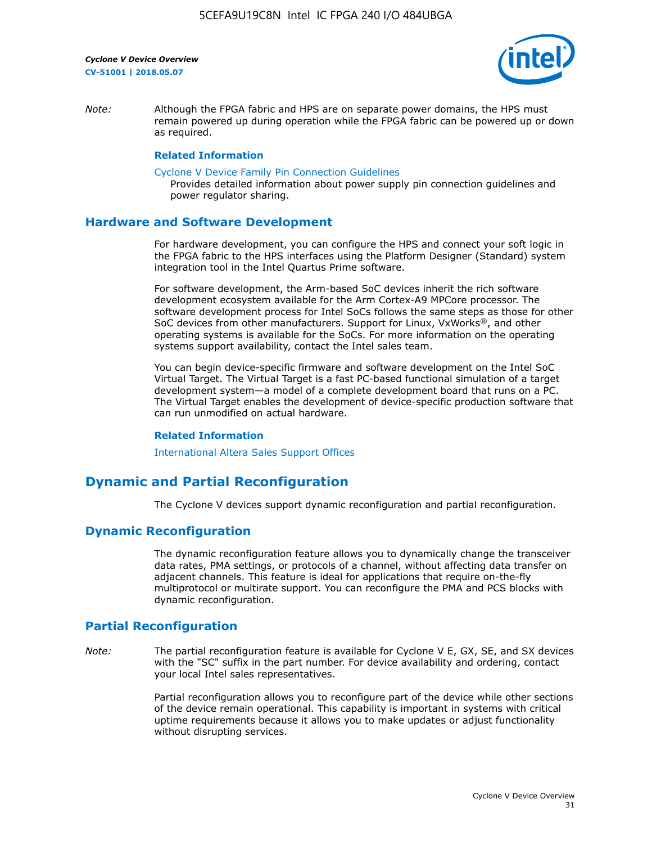

*Note:* Although the FPGA fabric and HPS are on separate power domains, the HPS must remain powered up during operation while the FPGA fabric can be powered up or down as required.

#### **Related Information**

[Cyclone V Device Family Pin Connection Guidelines](https://www.altera.com/content/dam/altera-www/global/en_US/pdfs/literature/dp/cyclone-v/pcg-01014.pdf)

Provides detailed information about power supply pin connection guidelines and power regulator sharing.

#### **Hardware and Software Development**

For hardware development, you can configure the HPS and connect your soft logic in the FPGA fabric to the HPS interfaces using the Platform Designer (Standard) system integration tool in the Intel Quartus Prime software.

For software development, the Arm-based SoC devices inherit the rich software development ecosystem available for the Arm Cortex-A9 MPCore processor. The software development process for Intel SoCs follows the same steps as those for other SoC devices from other manufacturers. Support for Linux, VxWorks®, and other operating systems is available for the SoCs. For more information on the operating systems support availability, contact the Intel sales team.

You can begin device-specific firmware and software development on the Intel SoC Virtual Target. The Virtual Target is a fast PC-based functional simulation of a target development system—a model of a complete development board that runs on a PC. The Virtual Target enables the development of device-specific production software that can run unmodified on actual hardware.

#### **Related Information**

[International Altera Sales Support Offices](https://www.altera.com/about/contact/contact/international-altera-sales-offices.html)

# **Dynamic and Partial Reconfiguration**

The Cyclone V devices support dynamic reconfiguration and partial reconfiguration.

## **Dynamic Reconfiguration**

The dynamic reconfiguration feature allows you to dynamically change the transceiver data rates, PMA settings, or protocols of a channel, without affecting data transfer on adjacent channels. This feature is ideal for applications that require on-the-fly multiprotocol or multirate support. You can reconfigure the PMA and PCS blocks with dynamic reconfiguration.

# **Partial Reconfiguration**

*Note:* The partial reconfiguration feature is available for Cyclone V E, GX, SE, and SX devices with the "SC" suffix in the part number. For device availability and ordering, contact your local Intel sales representatives.

> Partial reconfiguration allows you to reconfigure part of the device while other sections of the device remain operational. This capability is important in systems with critical uptime requirements because it allows you to make updates or adjust functionality without disrupting services.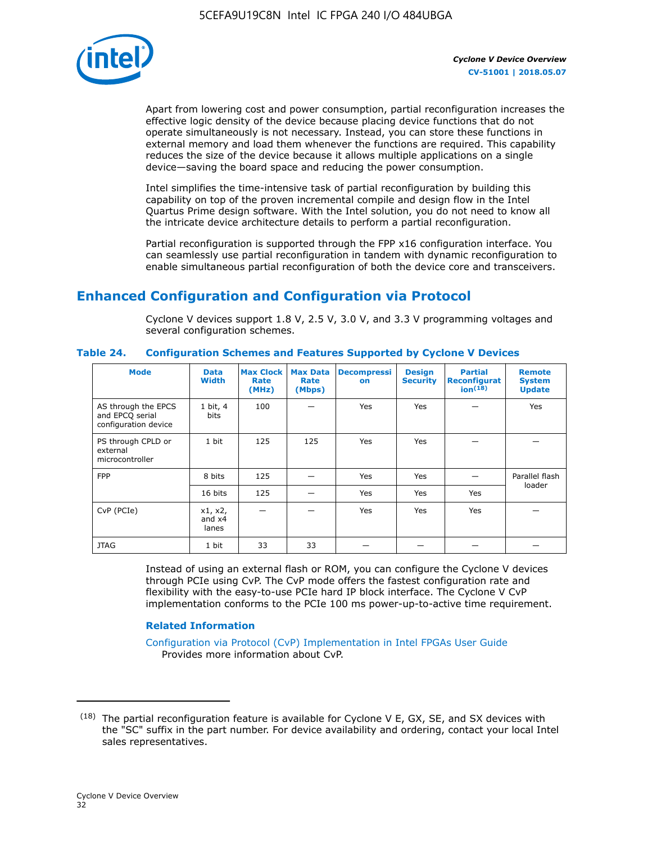

Apart from lowering cost and power consumption, partial reconfiguration increases the effective logic density of the device because placing device functions that do not operate simultaneously is not necessary. Instead, you can store these functions in external memory and load them whenever the functions are required. This capability reduces the size of the device because it allows multiple applications on a single device—saving the board space and reducing the power consumption.

Intel simplifies the time-intensive task of partial reconfiguration by building this capability on top of the proven incremental compile and design flow in the Intel Quartus Prime design software. With the Intel solution, you do not need to know all the intricate device architecture details to perform a partial reconfiguration.

Partial reconfiguration is supported through the FPP x16 configuration interface. You can seamlessly use partial reconfiguration in tandem with dynamic reconfiguration to enable simultaneous partial reconfiguration of both the device core and transceivers.

# **Enhanced Configuration and Configuration via Protocol**

Cyclone V devices support 1.8 V, 2.5 V, 3.0 V, and 3.3 V programming voltages and several configuration schemes.

| <b>Mode</b>                                                    | <b>Data</b><br>Width         | Max Clock  <br>Rate<br>(MHz) | <b>Max Data</b><br>Rate<br>(Mbps) | <b>Decompressi</b><br>on | <b>Design</b><br><b>Security</b> | <b>Partial</b><br><b>Reconfigurat</b><br>ion <sup>(18)</sup> | <b>Remote</b><br><b>System</b><br><b>Update</b> |
|----------------------------------------------------------------|------------------------------|------------------------------|-----------------------------------|--------------------------|----------------------------------|--------------------------------------------------------------|-------------------------------------------------|
| AS through the EPCS<br>and EPCQ serial<br>configuration device | 1 bit, 4<br>bits             | 100                          |                                   | Yes                      | <b>Yes</b>                       |                                                              | Yes                                             |
| PS through CPLD or<br>external<br>microcontroller              | 1 bit                        | 125                          | 125                               | Yes                      | Yes                              |                                                              |                                                 |
| <b>FPP</b>                                                     | 8 bits                       | 125                          |                                   | Yes                      | <b>Yes</b>                       |                                                              | Parallel flash                                  |
|                                                                | 16 bits                      | 125                          |                                   | Yes                      | <b>Yes</b>                       | Yes                                                          | loader                                          |
| CvP (PCIe)                                                     | x1, x2,<br>and $x4$<br>lanes |                              |                                   | Yes                      | <b>Yes</b>                       | Yes                                                          |                                                 |
| <b>JTAG</b>                                                    | 1 bit                        | 33                           | 33                                |                          |                                  |                                                              |                                                 |

**Table 24. Configuration Schemes and Features Supported by Cyclone V Devices**

Instead of using an external flash or ROM, you can configure the Cyclone V devices through PCIe using CvP. The CvP mode offers the fastest configuration rate and flexibility with the easy-to-use PCIe hard IP block interface. The Cyclone V CvP implementation conforms to the PCIe 100 ms power-up-to-active time requirement.

## **Related Information**

[Configuration via Protocol \(CvP\) Implementation in Intel FPGAs User Guide](https://www.altera.com/documentation/nik1412546950394.html#nik1412546833714) Provides more information about CvP.

 $(18)$  The partial reconfiguration feature is available for Cyclone V E, GX, SE, and SX devices with the "SC" suffix in the part number. For device availability and ordering, contact your local Intel sales representatives.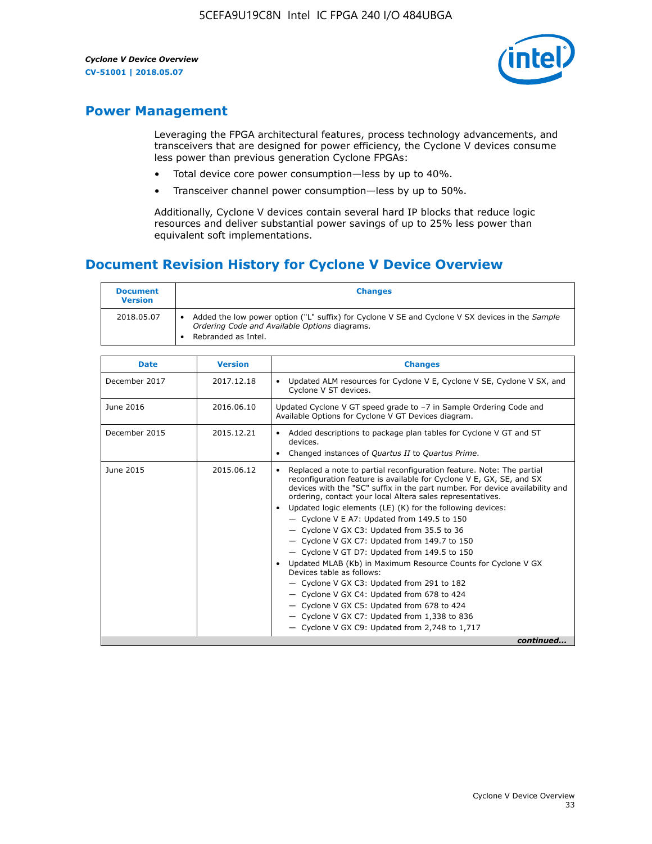

# **Power Management**

Leveraging the FPGA architectural features, process technology advancements, and transceivers that are designed for power efficiency, the Cyclone V devices consume less power than previous generation Cyclone FPGAs:

- Total device core power consumption—less by up to 40%.
- Transceiver channel power consumption—less by up to 50%.

Additionally, Cyclone V devices contain several hard IP blocks that reduce logic resources and deliver substantial power savings of up to 25% less power than equivalent soft implementations.

# **Document Revision History for Cyclone V Device Overview**

| <b>Document</b><br><b>Version</b> | <b>Changes</b>                                                                                                                                                          |
|-----------------------------------|-------------------------------------------------------------------------------------------------------------------------------------------------------------------------|
| 2018.05.07                        | Added the low power option ("L" suffix) for Cyclone V SE and Cyclone V SX devices in the Sample<br>Ordering Code and Available Options diagrams.<br>Rebranded as Intel. |

| <b>Date</b>   | <b>Version</b> | <b>Changes</b>                                                                                                                                                                                                                                                                                                                                                                                                                                                                                                                                                                                                                                                                                                                                                                                                                                                                                                    |
|---------------|----------------|-------------------------------------------------------------------------------------------------------------------------------------------------------------------------------------------------------------------------------------------------------------------------------------------------------------------------------------------------------------------------------------------------------------------------------------------------------------------------------------------------------------------------------------------------------------------------------------------------------------------------------------------------------------------------------------------------------------------------------------------------------------------------------------------------------------------------------------------------------------------------------------------------------------------|
| December 2017 | 2017.12.18     | Updated ALM resources for Cyclone V E, Cyclone V SE, Cyclone V SX, and<br>Cyclone V ST devices.                                                                                                                                                                                                                                                                                                                                                                                                                                                                                                                                                                                                                                                                                                                                                                                                                   |
| June 2016     | 2016.06.10     | Updated Cyclone V GT speed grade to -7 in Sample Ordering Code and<br>Available Options for Cyclone V GT Devices diagram.                                                                                                                                                                                                                                                                                                                                                                                                                                                                                                                                                                                                                                                                                                                                                                                         |
| December 2015 | 2015.12.21     | Added descriptions to package plan tables for Cyclone V GT and ST<br>devices.<br>Changed instances of Quartus II to Quartus Prime.<br>$\bullet$                                                                                                                                                                                                                                                                                                                                                                                                                                                                                                                                                                                                                                                                                                                                                                   |
| June 2015     | 2015.06.12     | Replaced a note to partial reconfiguration feature. Note: The partial<br>reconfiguration feature is available for Cyclone V E, GX, SE, and SX<br>devices with the "SC" suffix in the part number. For device availability and<br>ordering, contact your local Altera sales representatives.<br>Updated logic elements (LE) (K) for the following devices:<br>$\bullet$<br>$-$ Cyclone V E A7: Updated from 149.5 to 150<br>- Cyclone V GX C3: Updated from 35.5 to 36<br>- Cyclone V GX C7: Updated from 149.7 to 150<br>- Cyclone V GT D7: Updated from 149.5 to 150<br>Updated MLAB (Kb) in Maximum Resource Counts for Cyclone V GX<br>Devices table as follows:<br>- Cyclone V GX C3: Updated from 291 to 182<br>- Cyclone V GX C4: Updated from 678 to 424<br>- Cyclone V GX C5: Updated from 678 to 424<br>- Cyclone V GX C7: Updated from 1,338 to 836<br>$-$ Cyclone V GX C9: Updated from 2,748 to 1,717 |
|               |                | continued                                                                                                                                                                                                                                                                                                                                                                                                                                                                                                                                                                                                                                                                                                                                                                                                                                                                                                         |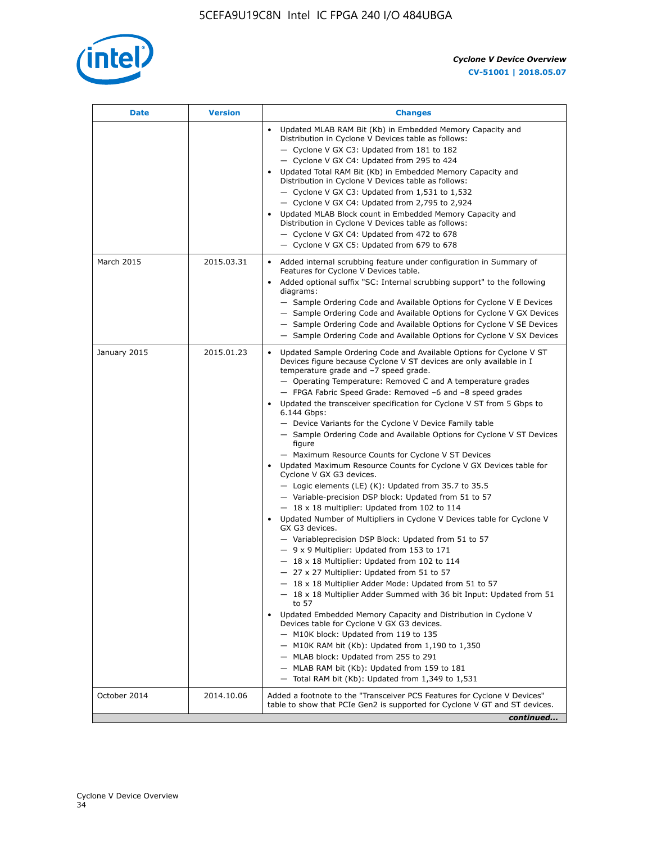

| Date         | <b>Version</b> | <b>Changes</b>                                                                                                                                                                                                                                                                                                                                                                                                                                                                                                                                                                                                                                                                                                                                                                                                                                                                                                                                                                                                                                                                                                                                                                                                                                                                                                                                                                                                                                                                                                                                                                                                                                                                                                  |
|--------------|----------------|-----------------------------------------------------------------------------------------------------------------------------------------------------------------------------------------------------------------------------------------------------------------------------------------------------------------------------------------------------------------------------------------------------------------------------------------------------------------------------------------------------------------------------------------------------------------------------------------------------------------------------------------------------------------------------------------------------------------------------------------------------------------------------------------------------------------------------------------------------------------------------------------------------------------------------------------------------------------------------------------------------------------------------------------------------------------------------------------------------------------------------------------------------------------------------------------------------------------------------------------------------------------------------------------------------------------------------------------------------------------------------------------------------------------------------------------------------------------------------------------------------------------------------------------------------------------------------------------------------------------------------------------------------------------------------------------------------------------|
|              |                | Updated MLAB RAM Bit (Kb) in Embedded Memory Capacity and<br>Distribution in Cyclone V Devices table as follows:<br>- Cyclone V GX C3: Updated from 181 to 182<br>- Cyclone V GX C4: Updated from 295 to 424<br>Updated Total RAM Bit (Kb) in Embedded Memory Capacity and<br>Distribution in Cyclone V Devices table as follows:<br>$-$ Cyclone V GX C3: Updated from 1,531 to 1,532<br>- Cyclone V GX C4: Updated from 2,795 to 2,924<br>Updated MLAB Block count in Embedded Memory Capacity and<br>Distribution in Cyclone V Devices table as follows:<br>- Cyclone V GX C4: Updated from 472 to 678<br>- Cyclone V GX C5: Updated from 679 to 678                                                                                                                                                                                                                                                                                                                                                                                                                                                                                                                                                                                                                                                                                                                                                                                                                                                                                                                                                                                                                                                          |
| March 2015   | 2015.03.31     | Added internal scrubbing feature under configuration in Summary of<br>Features for Cyclone V Devices table.<br>Added optional suffix "SC: Internal scrubbing support" to the following<br>diagrams:<br>- Sample Ordering Code and Available Options for Cyclone V E Devices<br>- Sample Ordering Code and Available Options for Cyclone V GX Devices<br>- Sample Ordering Code and Available Options for Cyclone V SE Devices<br>- Sample Ordering Code and Available Options for Cyclone V SX Devices                                                                                                                                                                                                                                                                                                                                                                                                                                                                                                                                                                                                                                                                                                                                                                                                                                                                                                                                                                                                                                                                                                                                                                                                          |
| January 2015 | 2015.01.23     | Updated Sample Ordering Code and Available Options for Cyclone V ST<br>Devices figure because Cyclone V ST devices are only available in I<br>temperature grade and -7 speed grade.<br>- Operating Temperature: Removed C and A temperature grades<br>- FPGA Fabric Speed Grade: Removed -6 and -8 speed grades<br>Updated the transceiver specification for Cyclone V ST from 5 Gbps to<br>6.144 Gbps:<br>- Device Variants for the Cyclone V Device Family table<br>- Sample Ordering Code and Available Options for Cyclone V ST Devices<br>figure<br>- Maximum Resource Counts for Cyclone V ST Devices<br>• Updated Maximum Resource Counts for Cyclone V GX Devices table for<br>Cyclone V GX G3 devices.<br>$-$ Logic elements (LE) (K): Updated from 35.7 to 35.5<br>- Variable-precision DSP block: Updated from 51 to 57<br>$-18 \times 18$ multiplier: Updated from 102 to 114<br>Updated Number of Multipliers in Cyclone V Devices table for Cyclone V<br>GX G3 devices.<br>- Variableprecision DSP Block: Updated from 51 to 57<br>$-9x9$ Multiplier: Updated from 153 to 171<br>$-18 \times 18$ Multiplier: Updated from 102 to 114<br>- 27 x 27 Multiplier: Updated from 51 to 57<br>- 18 x 18 Multiplier Adder Mode: Updated from 51 to 57<br>$-18 \times 18$ Multiplier Adder Summed with 36 bit Input: Updated from 51<br>to 57<br>Updated Embedded Memory Capacity and Distribution in Cyclone V<br>Devices table for Cyclone V GX G3 devices.<br>- M10K block: Updated from 119 to 135<br>- M10K RAM bit (Kb): Updated from 1,190 to 1,350<br>- MLAB block: Updated from 255 to 291<br>- MLAB RAM bit (Kb): Updated from 159 to 181<br>$-$ Total RAM bit (Kb): Updated from 1,349 to 1,531 |
| October 2014 | 2014.10.06     | Added a footnote to the "Transceiver PCS Features for Cyclone V Devices"<br>table to show that PCIe Gen2 is supported for Cyclone V GT and ST devices.                                                                                                                                                                                                                                                                                                                                                                                                                                                                                                                                                                                                                                                                                                                                                                                                                                                                                                                                                                                                                                                                                                                                                                                                                                                                                                                                                                                                                                                                                                                                                          |
|              |                | continued                                                                                                                                                                                                                                                                                                                                                                                                                                                                                                                                                                                                                                                                                                                                                                                                                                                                                                                                                                                                                                                                                                                                                                                                                                                                                                                                                                                                                                                                                                                                                                                                                                                                                                       |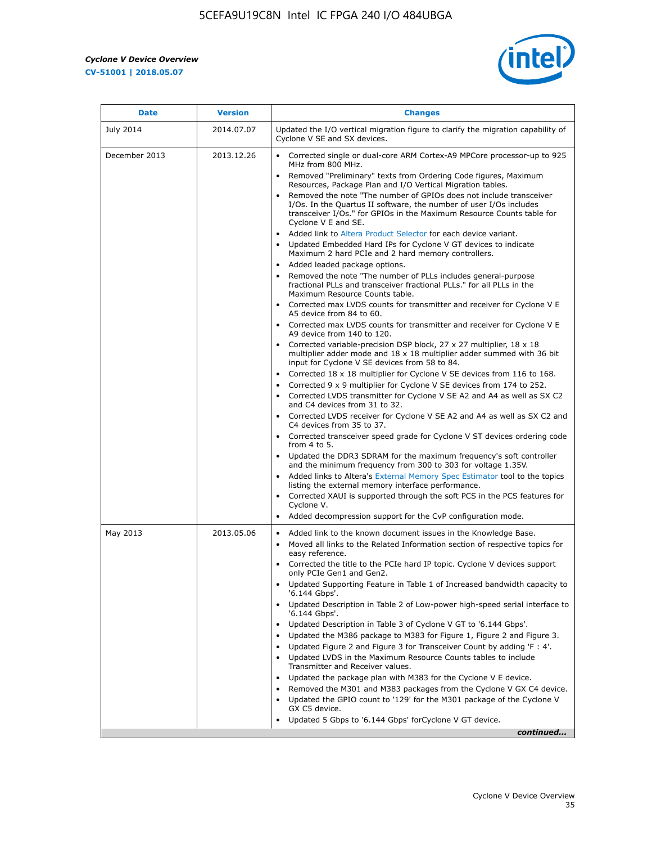r



| <b>Date</b>   | <b>Version</b> | <b>Changes</b>                                                                                                                                                                                                                           |
|---------------|----------------|------------------------------------------------------------------------------------------------------------------------------------------------------------------------------------------------------------------------------------------|
| July 2014     | 2014.07.07     | Updated the I/O vertical migration figure to clarify the migration capability of<br>Cyclone V SE and SX devices.                                                                                                                         |
| December 2013 | 2013.12.26     | Corrected single or dual-core ARM Cortex-A9 MPCore processor-up to 925<br>MHz from 800 MHz.                                                                                                                                              |
|               |                | Removed "Preliminary" texts from Ordering Code figures, Maximum<br>Resources, Package Plan and I/O Vertical Migration tables.                                                                                                            |
|               |                | Removed the note "The number of GPIOs does not include transceiver<br>I/Os. In the Quartus II software, the number of user I/Os includes<br>transceiver I/Os." for GPIOs in the Maximum Resource Counts table for<br>Cyclone V E and SE. |
|               |                | Added link to Altera Product Selector for each device variant.<br>Updated Embedded Hard IPs for Cyclone V GT devices to indicate<br>$\bullet$<br>Maximum 2 hard PCIe and 2 hard memory controllers.                                      |
|               |                | • Added leaded package options.<br>Removed the note "The number of PLLs includes general-purpose<br>fractional PLLs and transceiver fractional PLLs." for all PLLs in the<br>Maximum Resource Counts table.                              |
|               |                | • Corrected max LVDS counts for transmitter and receiver for Cyclone V E<br>A5 device from 84 to 60.                                                                                                                                     |
|               |                | • Corrected max LVDS counts for transmitter and receiver for Cyclone V E<br>A9 device from 140 to 120.                                                                                                                                   |
|               |                | Corrected variable-precision DSP block, 27 x 27 multiplier, 18 x 18<br>multiplier adder mode and $18 \times 18$ multiplier adder summed with 36 bit<br>input for Cyclone V SE devices from 58 to 84.                                     |
|               |                | Corrected $18 \times 18$ multiplier for Cyclone V SE devices from 116 to 168.<br>Corrected 9 x 9 multiplier for Cyclone V SE devices from 174 to 252.                                                                                    |
|               |                | • Corrected LVDS transmitter for Cyclone V SE A2 and A4 as well as SX C2<br>and C4 devices from 31 to 32.                                                                                                                                |
|               |                | • Corrected LVDS receiver for Cyclone V SE A2 and A4 as well as SX C2 and<br>C4 devices from 35 to 37.                                                                                                                                   |
|               |                | • Corrected transceiver speed grade for Cyclone V ST devices ordering code<br>from 4 to 5.                                                                                                                                               |
|               |                | Updated the DDR3 SDRAM for the maximum frequency's soft controller<br>and the minimum frequency from 300 to 303 for voltage 1.35V.                                                                                                       |
|               |                | Added links to Altera's External Memory Spec Estimator tool to the topics<br>listing the external memory interface performance.                                                                                                          |
|               |                | • Corrected XAUI is supported through the soft PCS in the PCS features for<br>Cyclone V.<br>Added decompression support for the CvP configuration mode.                                                                                  |
|               |                |                                                                                                                                                                                                                                          |
| May 2013      | 2013.05.06     | Added link to the known document issues in the Knowledge Base.<br>$\bullet$<br>Moved all links to the Related Information section of respective topics for<br>$\bullet$<br>easy reference.                                               |
|               |                | • Corrected the title to the PCIe hard IP topic. Cyclone V devices support<br>only PCIe Gen1 and Gen2.                                                                                                                                   |
|               |                | • Updated Supporting Feature in Table 1 of Increased bandwidth capacity to<br>'6.144 Gbps'.                                                                                                                                              |
|               |                | Updated Description in Table 2 of Low-power high-speed serial interface to<br>'6.144 Gbps'.                                                                                                                                              |
|               |                | Updated Description in Table 3 of Cyclone V GT to '6.144 Gbps'.<br>Updated the M386 package to M383 for Figure 1, Figure 2 and Figure 3.<br>$\bullet$                                                                                    |
|               |                | Updated Figure 2 and Figure 3 for Transceiver Count by adding 'F : 4'.<br>$\bullet$                                                                                                                                                      |
|               |                | Updated LVDS in the Maximum Resource Counts tables to include<br>Transmitter and Receiver values.                                                                                                                                        |
|               |                | Updated the package plan with M383 for the Cyclone V E device.<br>$\bullet$                                                                                                                                                              |
|               |                | Removed the M301 and M383 packages from the Cyclone V GX C4 device.<br>Updated the GPIO count to '129' for the M301 package of the Cyclone V<br>GX C5 device.                                                                            |
|               |                | Updated 5 Gbps to '6.144 Gbps' for Cyclone V GT device.                                                                                                                                                                                  |
|               |                | continued                                                                                                                                                                                                                                |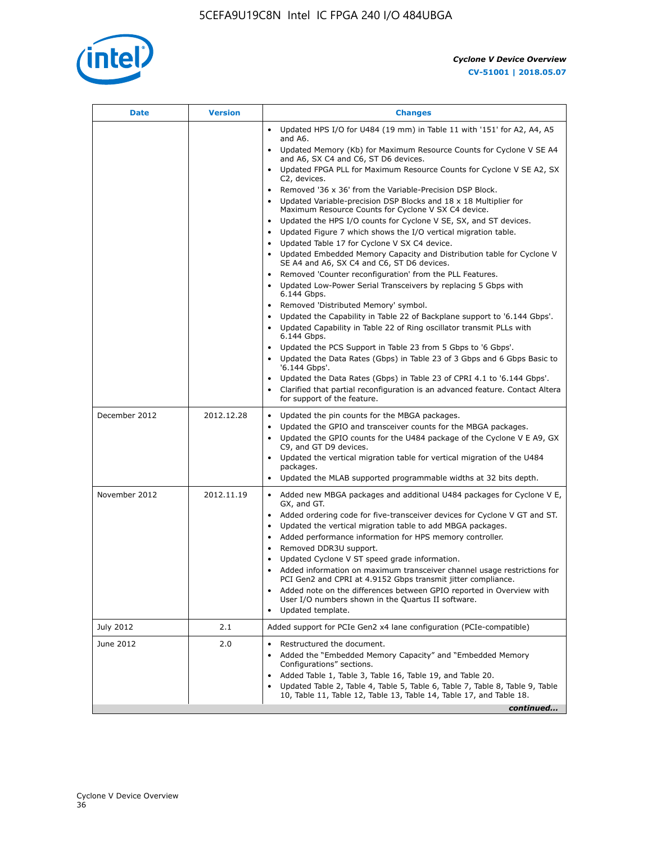

| Date          | <b>Version</b> | <b>Changes</b>                                                                                                                                      |
|---------------|----------------|-----------------------------------------------------------------------------------------------------------------------------------------------------|
|               |                | Updated HPS I/O for U484 (19 mm) in Table 11 with '151' for A2, A4, A5<br>$\bullet$<br>and A6.                                                      |
|               |                | Updated Memory (Kb) for Maximum Resource Counts for Cyclone V SE A4<br>and A6, SX C4 and C6, ST D6 devices.                                         |
|               |                | • Updated FPGA PLL for Maximum Resource Counts for Cyclone V SE A2, SX<br>C2, devices.                                                              |
|               |                | • Removed '36 x 36' from the Variable-Precision DSP Block.                                                                                          |
|               |                | Updated Variable-precision DSP Blocks and $18 \times 18$ Multiplier for<br>Maximum Resource Counts for Cyclone V SX C4 device.                      |
|               |                | • Updated the HPS I/O counts for Cyclone V SE, SX, and ST devices.                                                                                  |
|               |                | Updated Figure 7 which shows the I/O vertical migration table.<br>Updated Table 17 for Cyclone V SX C4 device.<br>$\bullet$                         |
|               |                | Updated Embedded Memory Capacity and Distribution table for Cyclone V<br>$\bullet$                                                                  |
|               |                | SE A4 and A6, SX C4 and C6, ST D6 devices.                                                                                                          |
|               |                | • Removed 'Counter reconfiguration' from the PLL Features.                                                                                          |
|               |                | Updated Low-Power Serial Transceivers by replacing 5 Gbps with<br>6.144 Gbps.                                                                       |
|               |                | Removed 'Distributed Memory' symbol.<br>$\bullet$                                                                                                   |
|               |                | Updated the Capability in Table 22 of Backplane support to '6.144 Gbps'.<br>• Updated Capability in Table 22 of Ring oscillator transmit PLLs with  |
|               |                | 6.144 Gbps.                                                                                                                                         |
|               |                | Updated the PCS Support in Table 23 from 5 Gbps to '6 Gbps'.                                                                                        |
|               |                | Updated the Data Rates (Gbps) in Table 23 of 3 Gbps and 6 Gbps Basic to<br>$\bullet$<br>'6.144 Gbps'.                                               |
|               |                | Updated the Data Rates (Gbps) in Table 23 of CPRI 4.1 to '6.144 Gbps'.                                                                              |
|               |                | Clarified that partial reconfiguration is an advanced feature. Contact Altera                                                                       |
|               |                | for support of the feature.                                                                                                                         |
| December 2012 | 2012.12.28     | Updated the pin counts for the MBGA packages.<br>$\bullet$                                                                                          |
|               |                | Updated the GPIO and transceiver counts for the MBGA packages.<br>٠<br>Updated the GPIO counts for the U484 package of the Cyclone V E A9, GX       |
|               |                | C9, and GT D9 devices.                                                                                                                              |
|               |                | • Updated the vertical migration table for vertical migration of the U484<br>packages.                                                              |
|               |                | Updated the MLAB supported programmable widths at 32 bits depth.                                                                                    |
| November 2012 | 2012.11.19     | • Added new MBGA packages and additional U484 packages for Cyclone V E,                                                                             |
|               |                | GX, and GT.                                                                                                                                         |
|               |                | • Added ordering code for five-transceiver devices for Cyclone V GT and ST.<br>Updated the vertical migration table to add MBGA packages.           |
|               |                | Added performance information for HPS memory controller.<br>$\bullet$                                                                               |
|               |                | Removed DDR3U support.<br>$\bullet$                                                                                                                 |
|               |                | Updated Cyclone V ST speed grade information.                                                                                                       |
|               |                | Added information on maximum transceiver channel usage restrictions for<br>PCI Gen2 and CPRI at 4.9152 Gbps transmit jitter compliance.             |
|               |                | Added note on the differences between GPIO reported in Overview with                                                                                |
|               |                | User I/O numbers shown in the Quartus II software.<br>Updated template.                                                                             |
|               |                |                                                                                                                                                     |
| July 2012     | 2.1            | Added support for PCIe Gen2 x4 lane configuration (PCIe-compatible)                                                                                 |
| June 2012     | 2.0            | Restructured the document.<br>٠                                                                                                                     |
|               |                | Added the "Embedded Memory Capacity" and "Embedded Memory<br>Configurations" sections.                                                              |
|               |                | Added Table 1, Table 3, Table 16, Table 19, and Table 20.                                                                                           |
|               |                | Updated Table 2, Table 4, Table 5, Table 6, Table 7, Table 8, Table 9, Table<br>10, Table 11, Table 12, Table 13, Table 14, Table 17, and Table 18. |
|               |                | continued                                                                                                                                           |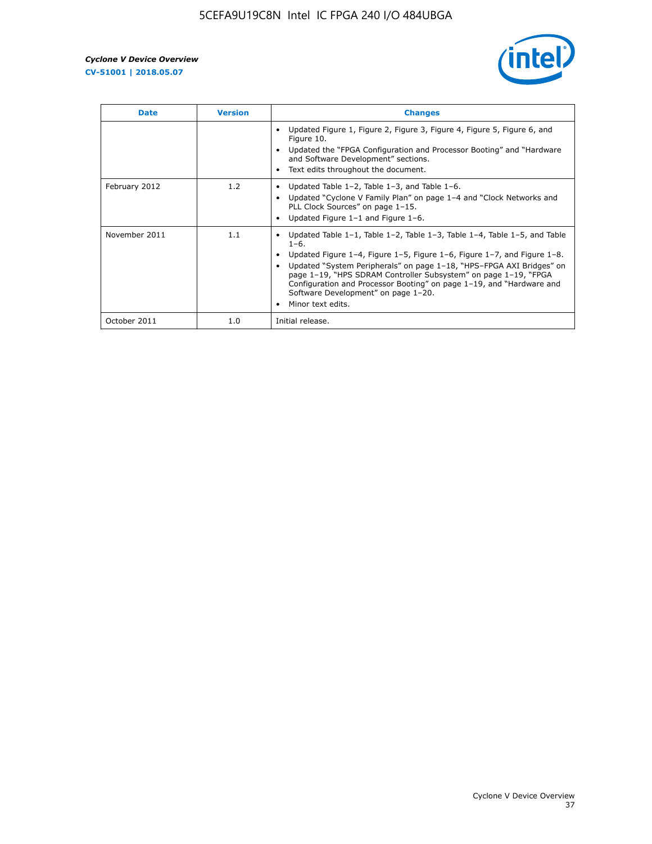

| <b>Date</b>   | <b>Version</b> | <b>Changes</b>                                                                                                                                                                                                                                                                                                                                                                                                                                                |
|---------------|----------------|---------------------------------------------------------------------------------------------------------------------------------------------------------------------------------------------------------------------------------------------------------------------------------------------------------------------------------------------------------------------------------------------------------------------------------------------------------------|
|               |                | Updated Figure 1, Figure 2, Figure 3, Figure 4, Figure 5, Figure 6, and<br>Figure 10.<br>Updated the "FPGA Configuration and Processor Booting" and "Hardware"<br>and Software Development" sections.<br>Text edits throughout the document.                                                                                                                                                                                                                  |
| February 2012 | 1.2            | Updated Table $1-2$ , Table $1-3$ , and Table $1-6$ .<br>Updated "Cyclone V Family Plan" on page 1-4 and "Clock Networks and<br>PLL Clock Sources" on page 1-15.<br>Updated Figure 1-1 and Figure 1-6.                                                                                                                                                                                                                                                        |
| November 2011 | 1.1            | Updated Table $1-1$ , Table $1-2$ , Table $1-3$ , Table $1-4$ , Table $1-5$ , and Table<br>$1 - 6.$<br>Updated Figure 1-4, Figure 1-5, Figure 1-6, Figure 1-7, and Figure 1-8.<br>Updated "System Peripherals" on page 1-18, "HPS-FPGA AXI Bridges" on<br>page 1-19, "HPS SDRAM Controller Subsystem" on page 1-19, "FPGA<br>Configuration and Processor Booting" on page 1-19, and "Hardware and<br>Software Development" on page 1-20.<br>Minor text edits. |
| October 2011  | 1.0            | Initial release.                                                                                                                                                                                                                                                                                                                                                                                                                                              |